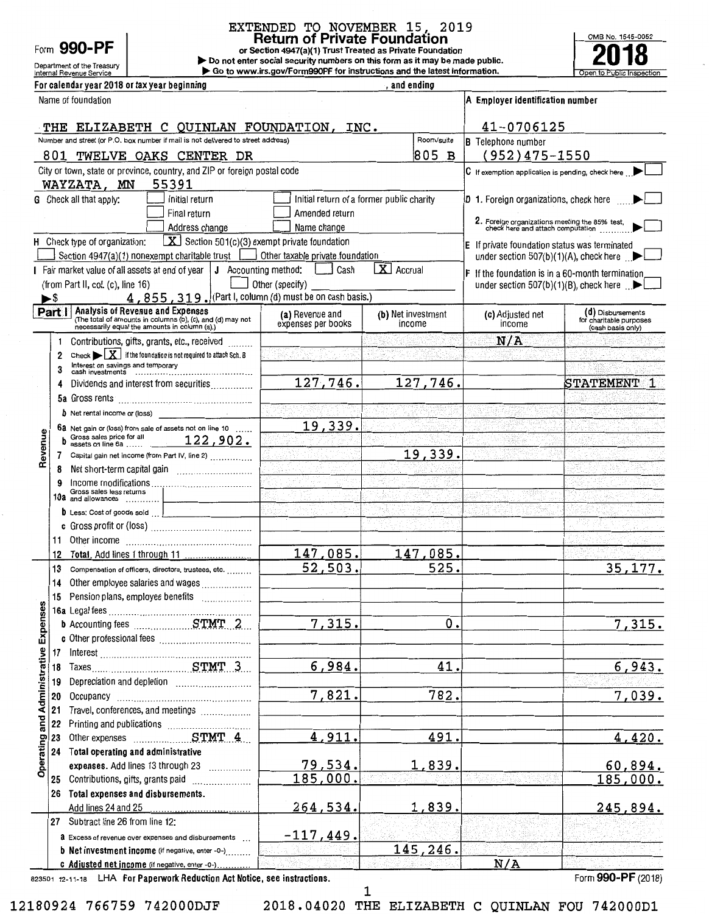|  | Form 990-PF |
|--|-------------|
|--|-------------|

# EXTENDED TO NOVEMBER 15, 2019 Return of Private Foundation<br>or Section 4947(a)(1) Trust Treated as Private Foundation

Department of the Treasury **Department of the Treasury Department of the Treasury Department of the Treasury Department Operators** Constructions and the latest information. ▶ Go to www.irs.gov/Form990PF for instructions and the latest information.



For calendar year 2018 or tay year beginning

|                                       |     | FUI GAICHUAI YCAI ZU IO UI LAX YCAI DCYNNHIY                                                                                                                  |                                           | , anu chumy                  |                                                                                     |                                                                   |
|---------------------------------------|-----|---------------------------------------------------------------------------------------------------------------------------------------------------------------|-------------------------------------------|------------------------------|-------------------------------------------------------------------------------------|-------------------------------------------------------------------|
|                                       |     | Name of foundation                                                                                                                                            |                                           |                              | A Employer identification number                                                    |                                                                   |
|                                       |     | THE ELIZABETH C QUINLAN FOUNDATION, INC.                                                                                                                      |                                           |                              | 41-0706125                                                                          |                                                                   |
|                                       |     | Number and street (or P.O. box number if mail is not delivered to street address)                                                                             |                                           | Room/suite                   | <b>B</b> Telephone number                                                           |                                                                   |
|                                       |     | 801 TWELVE OAKS CENTER DR                                                                                                                                     |                                           | 805 B                        | $(952)475 - 1550$                                                                   |                                                                   |
|                                       |     | City or town, state or province, country, and ZIP or foreign postal code                                                                                      |                                           |                              | C If exemption application is pending, check here subset                            |                                                                   |
|                                       |     | 55391<br>WAYZATA, MN                                                                                                                                          |                                           |                              |                                                                                     |                                                                   |
|                                       |     | G Check all that apply:<br>Initial return                                                                                                                     | Initial return of a former public charity |                              | <b>D</b> 1. Foreign organizations, check here                                       |                                                                   |
|                                       |     | Final return                                                                                                                                                  | Amended return                            |                              |                                                                                     |                                                                   |
|                                       |     | Address change                                                                                                                                                | Name change                               |                              | 2. Foreign organizations meeting the 85% test,<br>check here and attach computation |                                                                   |
|                                       |     | $X$ Section 501(c)(3) exempt private foundation<br>H Check type of organization:                                                                              |                                           |                              | E If private foundation status was terminated                                       |                                                                   |
|                                       |     | Section $4947(a)(1)$ nonexempt charitable trust $\boxed{\phantom{a} \phantom{a}}$                                                                             | Other taxable private foundation          |                              |                                                                                     | under section 507(b)(1)(A), check here $\Box$                     |
|                                       |     | Fair market value of all assets at end of year   J Accounting method:   Cash                                                                                  |                                           | X Accrual                    | <b>F</b> If the foundation is in a 60-month termination                             |                                                                   |
|                                       |     | (from Part II, col. (c), line 16)                                                                                                                             | Other (specify)                           |                              |                                                                                     | under section 507(b)(1)(B), check here $\Box$                     |
|                                       | ►\$ | $4,855,319.$ (Part I, column (d) must be on cash basis.)                                                                                                      |                                           |                              |                                                                                     |                                                                   |
|                                       |     | <b>Part   Analysis of Revenue and Expenses</b><br>(The total of amounts in columns (b), (c), and (d) may not<br>necessarily equal the amounts in column (a).) | (a) Revenue and<br>expenses per books     | (b) Net investment<br>income | (c) Adjusted net<br>income                                                          | (d) Disbursements<br>for charitable purposes<br>(cash basis only) |
|                                       | 1   | Contributions, gifts, grants, etc., received                                                                                                                  |                                           |                              | N/A                                                                                 |                                                                   |
|                                       | 2   | Check $\blacktriangleright \boxed{\mathbf{X}}$ if the foundation is not required to attach Sch. B                                                             |                                           |                              |                                                                                     |                                                                   |
|                                       | 3   |                                                                                                                                                               |                                           |                              |                                                                                     |                                                                   |
|                                       | 4   | Dividends and interest from securities                                                                                                                        | 127,746.                                  | 127,746.                     |                                                                                     | <b>STATEMENT</b>                                                  |
|                                       |     |                                                                                                                                                               |                                           |                              |                                                                                     |                                                                   |
|                                       |     | <b>b</b> Net rental income or (loss)                                                                                                                          |                                           |                              |                                                                                     |                                                                   |
|                                       |     | 6a Net gain or (loss) from sale of assets not on line 10                                                                                                      | 19,339.                                   |                              |                                                                                     |                                                                   |
| Revenue                               | b   | Gross sales price for all $122,902$ .                                                                                                                         |                                           |                              |                                                                                     |                                                                   |
|                                       | 7   | Capital gain net income (from Part IV, line 2)                                                                                                                |                                           | 19,339.                      |                                                                                     |                                                                   |
|                                       | 8   |                                                                                                                                                               | بالمحاوي                                  |                              |                                                                                     |                                                                   |
|                                       | 9   |                                                                                                                                                               |                                           |                              |                                                                                     |                                                                   |
|                                       |     | Gross sales less returns<br>10a and allowances                                                                                                                |                                           |                              |                                                                                     |                                                                   |
|                                       |     | D Less: Cost of goods sold                                                                                                                                    |                                           |                              |                                                                                     |                                                                   |
|                                       |     |                                                                                                                                                               |                                           |                              |                                                                                     |                                                                   |
|                                       | 11. |                                                                                                                                                               |                                           |                              |                                                                                     |                                                                   |
|                                       | 12  |                                                                                                                                                               | 147,085.                                  | 147,085.                     |                                                                                     |                                                                   |
|                                       | 13  | Compensation of officers, directors, trustees, etc.                                                                                                           | 52,503.                                   | 525.                         |                                                                                     | 35,177.                                                           |
|                                       | 14  | Other employee salaries and wages                                                                                                                             |                                           |                              |                                                                                     |                                                                   |
|                                       | 15  | Pension plans, employee benefits                                                                                                                              |                                           |                              |                                                                                     |                                                                   |
|                                       |     | 16a Legal fees                                                                                                                                                |                                           |                              |                                                                                     |                                                                   |
|                                       |     |                                                                                                                                                               | 7,315.                                    | ο.                           |                                                                                     | 7,315.                                                            |
|                                       |     |                                                                                                                                                               |                                           |                              |                                                                                     |                                                                   |
|                                       | 17  | $Interest \begin{tabular}{l} \hline \end{tabular}$                                                                                                            |                                           |                              |                                                                                     |                                                                   |
|                                       | 18  |                                                                                                                                                               | 6,984.                                    | 41.                          |                                                                                     | 6,943.                                                            |
|                                       | 19  |                                                                                                                                                               |                                           |                              |                                                                                     |                                                                   |
|                                       | 20  |                                                                                                                                                               | 7,821.                                    | 782.                         |                                                                                     | 7,039.                                                            |
|                                       | 21  | Travel, conferences, and meetings                                                                                                                             |                                           |                              |                                                                                     |                                                                   |
|                                       | 22  |                                                                                                                                                               |                                           |                              |                                                                                     |                                                                   |
| Operating and Administrative Expenses | 23  |                                                                                                                                                               | 4,911                                     | 491                          |                                                                                     | 4,420.                                                            |
|                                       | 24  | Total operating and administrative                                                                                                                            |                                           |                              |                                                                                     |                                                                   |
|                                       |     | expenses. Add lines 13 through 23                                                                                                                             | 79,534.                                   | <u>1,839.</u>                |                                                                                     | 60,894.                                                           |
|                                       |     | 25 Contributions, gifts, grants paid                                                                                                                          | <u>185,000.</u>                           |                              |                                                                                     | <u> 185,000.</u>                                                  |
|                                       |     | 26 Total expenses and disbursements.                                                                                                                          |                                           |                              |                                                                                     |                                                                   |
|                                       |     | 27 Subtract line 26 from line 12:                                                                                                                             | 264,534                                   | <u>1,839,</u>                |                                                                                     | <u>245,894.</u>                                                   |
|                                       |     |                                                                                                                                                               | <u>-117,449.</u>                          |                              |                                                                                     |                                                                   |
|                                       |     | a Excess of revenue over expenses and disbursements<br><b>b</b> Net investment income (if negative, enter -0-)                                                |                                           | 145,246.                     |                                                                                     |                                                                   |
|                                       |     |                                                                                                                                                               |                                           |                              |                                                                                     |                                                                   |

823501 12-11-18 LHA For Paperwork Reduction Act Notice, see instructions. Form 990-PF (2018)

1

c Adjusted net income (if negative, enter -o-) ............ . N/A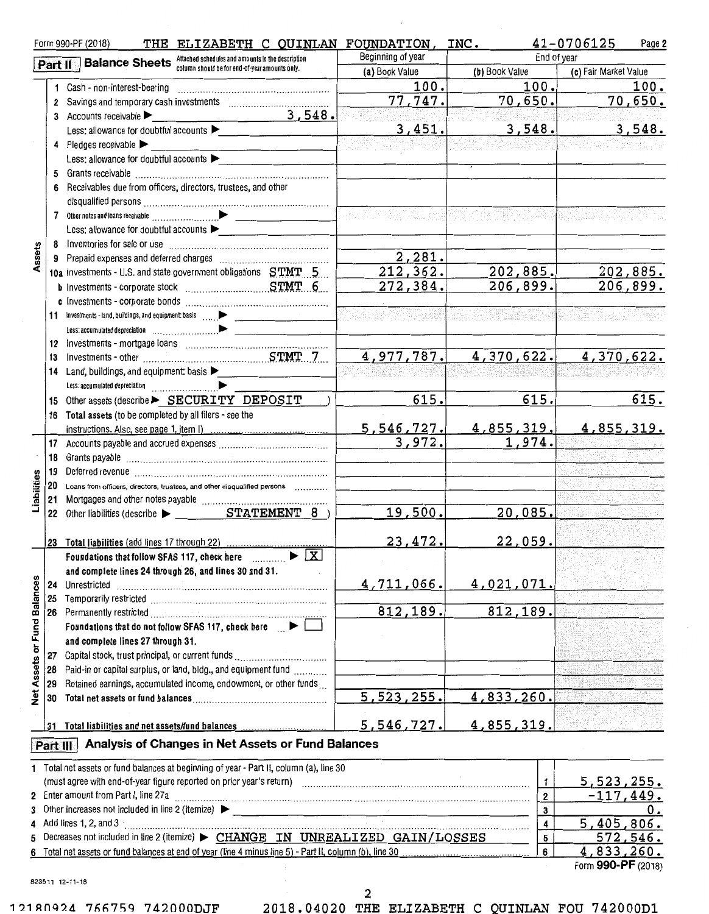|                      |          | THE ELIZABETH C QUINLAN FOUNDATION, INC.<br>Form 990-PF (2018)                                          |                   |                         | $41 - 0706125$<br>Page 2 |
|----------------------|----------|---------------------------------------------------------------------------------------------------------|-------------------|-------------------------|--------------------------|
|                      |          | Part II :- Balance Sheets Attached schedules and amounts in the description                             | Beginning of year | End of year             |                          |
|                      |          | column should be for end-of-year amounts only.                                                          | (a) Book Value    | (b) Book Value          | (c) Fair Market Value    |
|                      |          | 1 Cash - non-interest-bearing                                                                           | 100.              | 100.                    | 100.                     |
|                      |          |                                                                                                         | 77,747.           | 70,650.                 | 70,650.                  |
|                      |          | 3,548.<br>3 Accounts receivable $\blacktriangleright$                                                   |                   |                         |                          |
|                      |          | Less: allowance for doubtful accounts $\blacktriangleright$                                             | 3,451.            | 3,548.                  | 3,548.                   |
|                      |          | 4 Pledges receivable $\blacktriangleright$                                                              |                   |                         |                          |
|                      |          | Less: allowance for doubtful accounts                                                                   |                   |                         |                          |
|                      |          |                                                                                                         |                   |                         |                          |
|                      |          | 6 Receivables due from officers, directors, trustees, and other                                         |                   |                         |                          |
|                      |          |                                                                                                         |                   |                         |                          |
|                      |          |                                                                                                         |                   |                         |                          |
|                      |          | Less: allowance for doubtful accounts                                                                   |                   |                         |                          |
|                      |          |                                                                                                         |                   |                         |                          |
| ssets                |          |                                                                                                         | 2,281.            |                         |                          |
|                      |          | 10a Investments - U.S. and state government obligations STMT 5                                          | 212, 362.         | 202,885.                | 202,885.                 |
|                      |          |                                                                                                         | 272, 384.         | 206,899.                | 206,899.                 |
|                      |          |                                                                                                         |                   |                         |                          |
|                      |          |                                                                                                         |                   |                         |                          |
|                      |          |                                                                                                         |                   |                         |                          |
|                      |          |                                                                                                         |                   |                         |                          |
|                      | 13       |                                                                                                         | 4,977,787.        | 4,370,622.              | 4,370,622.               |
|                      |          | 14 Land, buildings, and equipment: basis                                                                |                   |                         |                          |
|                      |          |                                                                                                         |                   |                         |                          |
|                      |          | 15 Other assets (describe > SECURITY DEPOSIT                                                            | 615.              | 615.                    | 615.                     |
|                      |          | 16 Total assets (to be completed by all filers - see the                                                |                   |                         |                          |
|                      |          |                                                                                                         | 5,546,727.        | <u>4,855,319.</u>       | <u>4,855,319.</u>        |
|                      |          |                                                                                                         | 3,972.            | 1,974.                  |                          |
|                      |          |                                                                                                         |                   |                         |                          |
|                      |          |                                                                                                         |                   |                         |                          |
|                      |          | 20 Loans from officers, directors, trustees, and other disqualified persons                             |                   |                         |                          |
| Liabilities          |          |                                                                                                         |                   |                         |                          |
|                      |          |                                                                                                         | 19,500.           | 20,085.                 |                          |
|                      |          |                                                                                                         |                   |                         |                          |
|                      |          | 23 Total liabilities (add lines 17 through 22)                                                          | 23,472.           | 22,059.                 |                          |
|                      |          | Foundations that follow SFAS 117, check here $\Box$                                                     |                   |                         |                          |
|                      |          | and complete lines 24 through 26, and lines 30 and 31.                                                  |                   |                         |                          |
|                      | 24       | Unrestricted                                                                                            | 4,711,066.        | 4,021,071.              |                          |
|                      | 25       |                                                                                                         |                   |                         |                          |
| <b>Fund Balances</b> |          |                                                                                                         | 812,189.          | 812, 189.               |                          |
|                      |          | Foundations that do not follow SFAS 117, check here   ↓                                                 |                   |                         |                          |
|                      |          | and complete lines 27 through 31.                                                                       |                   |                         |                          |
| ð                    | 27       |                                                                                                         |                   |                         |                          |
| <b>Net Assets</b>    | 28       | Paid-in or capital surplus, or land, bldg., and equipment fund                                          |                   |                         |                          |
|                      | 29       | Retained earnings, accumulated income, endowment, or other funds                                        |                   |                         |                          |
|                      | 30       |                                                                                                         | 5,523,255.        | 4,833,260.              |                          |
|                      |          |                                                                                                         |                   |                         |                          |
|                      |          | 31 Total liabilities and net assets/fund balances                                                       | 5,546,727.        | 4,855,319.              |                          |
|                      | Part III | Analysis of Changes in Net Assets or Fund Balances                                                      |                   |                         |                          |
|                      |          |                                                                                                         |                   |                         |                          |
|                      |          | 1 Total net assets or fund balances at beginning of year - Part II, column (a), line 30                 |                   |                         |                          |
|                      |          |                                                                                                         |                   | $\mathbf{1}$            | 5,523,255.               |
|                      |          | 2 Enter amount from Part I, line 27a                                                                    |                   | $\overline{\mathbf{2}}$ | $-117,449.$              |
| 3                    |          |                                                                                                         |                   | 3                       | 0.                       |
|                      |          | 4 Add lines 1, 2, and $3 -$                                                                             |                   | $\overline{\mathbf{4}}$ | 5,405,806.               |
| 5                    |          | Decreases not included in line 2 (itemize) > CHANGE IN UNREALIZED GAIN/LOSSES                           |                   | 5                       | <u>572,546.</u>          |
|                      |          | 6 Total net assets or fund balances at end of year (line 4 minus line 5) - Part II, column (b), line 30 |                   | 6                       | 4,833,260.               |

823511 12-11-18

**2** 

**1?.1ROQ?.4 766759 742000DJF 2018.04020 THE ELIZABETH C QUINLAN FOU 742000D1** 

Form **990-PF** (2018)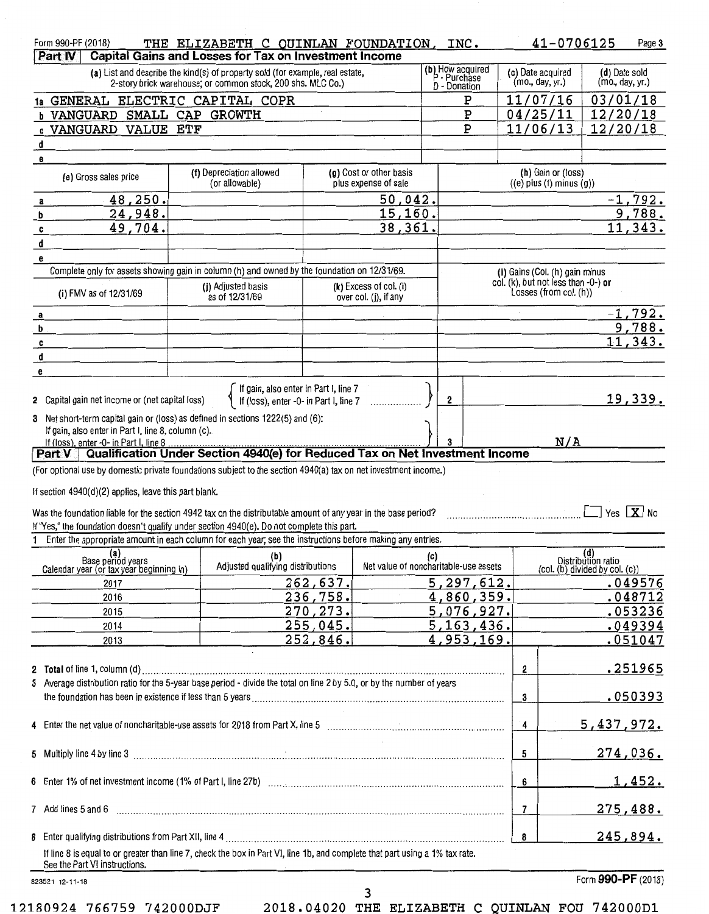| Form 990-PF (2018)<br>Part IV                                                                                                                                            | THE ELIZABETH C QUINLAN FOUNDATION, INC.<br>Capital Gains and Losses for Tax on Investment Income                                            |           |                                                     |     |                                                  |                                      | 41-0706125                                                    |                                                             | Page 3    |
|--------------------------------------------------------------------------------------------------------------------------------------------------------------------------|----------------------------------------------------------------------------------------------------------------------------------------------|-----------|-----------------------------------------------------|-----|--------------------------------------------------|--------------------------------------|---------------------------------------------------------------|-------------------------------------------------------------|-----------|
|                                                                                                                                                                          | (a) List and describe the kind(s) of property sold (for example, real estate,<br>2-story brick warehouse; or common stock, 200 shs. MLC Co.) |           |                                                     |     | (b) How acquired<br>P - Purchase<br>D - Donation | (c) Date acquired<br>(mo., day, yr.) |                                                               | (d) Date sold<br>(mo., day, yr.)                            |           |
| 1a GENERAL ELECTRIC CAPITAL COPR                                                                                                                                         |                                                                                                                                              |           |                                                     |     | Р                                                | 11/07/16                             |                                                               | 03/01/18                                                    |           |
| b VANGUARD SMALL CAP GROWTH<br>Ρ                                                                                                                                         |                                                                                                                                              |           |                                                     |     |                                                  | 04/25/11                             |                                                               | 12/20/18                                                    |           |
| : VANGUARD VALUE ETF                                                                                                                                                     |                                                                                                                                              |           |                                                     |     | P                                                | 11/06/13                             |                                                               | 12/20/18                                                    |           |
| d                                                                                                                                                                        |                                                                                                                                              |           |                                                     |     |                                                  |                                      |                                                               |                                                             |           |
| е                                                                                                                                                                        |                                                                                                                                              |           |                                                     |     |                                                  |                                      |                                                               |                                                             |           |
| (e) Gross sales price                                                                                                                                                    | (f) Depreciation allowed<br>(or allowable)                                                                                                   |           | (g) Cost or other basis<br>plus expense of sale     |     |                                                  |                                      | (h) Gain or (loss)<br>$((e)$ plus $(f)$ minus $(g)$ )         |                                                             |           |
| 48,250.<br>a                                                                                                                                                             |                                                                                                                                              |           | 50,042.                                             |     |                                                  |                                      |                                                               |                                                             | $-1,792.$ |
| 24,948.<br>b                                                                                                                                                             |                                                                                                                                              |           | 15, 160.                                            |     | $\sim$                                           |                                      |                                                               |                                                             | 9,788.    |
| 49,704.<br>c                                                                                                                                                             |                                                                                                                                              |           | 38,361.                                             |     |                                                  |                                      |                                                               |                                                             | 11,343.   |
| d                                                                                                                                                                        |                                                                                                                                              |           |                                                     |     |                                                  |                                      |                                                               |                                                             |           |
| е                                                                                                                                                                        |                                                                                                                                              |           |                                                     |     |                                                  |                                      |                                                               |                                                             |           |
|                                                                                                                                                                          | Complete only for assets showing gain in column (h) and owned by the foundation on 12/31/69.                                                 |           |                                                     |     |                                                  |                                      | (I) Gains (Col. (h) gain minus                                |                                                             |           |
| (i) FMV as of 12/31/69                                                                                                                                                   | (j) Adjusted basis<br>as of 12/31/69                                                                                                         |           | $(k)$ Excess of col. $(i)$<br>over col. (j), if any |     |                                                  |                                      | col. (k), but not less than -0-) or<br>Losses (from col. (h)) |                                                             |           |
| $\overline{\mathbf{a}}$                                                                                                                                                  |                                                                                                                                              |           |                                                     |     |                                                  |                                      |                                                               |                                                             | $-1,792.$ |
| $\mathbf b$                                                                                                                                                              |                                                                                                                                              |           |                                                     |     |                                                  |                                      |                                                               |                                                             | 9,788.    |
| c                                                                                                                                                                        |                                                                                                                                              |           |                                                     |     |                                                  |                                      |                                                               |                                                             | 11,343.   |
| đ                                                                                                                                                                        |                                                                                                                                              |           |                                                     |     |                                                  |                                      |                                                               |                                                             |           |
| е                                                                                                                                                                        |                                                                                                                                              |           |                                                     |     |                                                  |                                      |                                                               |                                                             |           |
| 2 Capital gain net income or (net capital loss)                                                                                                                          | If gain, also enter in Part I, line 7<br>If (loss), enter -0- in Part I, line 7                                                              |           |                                                     | 2   |                                                  |                                      |                                                               |                                                             | 19,339.   |
| 3 Net short-term capital gain or (loss) as defined in sections 1222(5) and (6):<br>If gain, also enter in Part I, line 8, column (c).                                    |                                                                                                                                              |           |                                                     |     |                                                  |                                      |                                                               |                                                             |           |
| If (loss), enter -0- in Part I, line 8.                                                                                                                                  |                                                                                                                                              |           |                                                     |     |                                                  |                                      | N/A                                                           |                                                             |           |
| Part V   Qualification Under Section 4940(e) for Reduced Tax on Net Investment Income                                                                                    |                                                                                                                                              |           |                                                     |     |                                                  |                                      |                                                               |                                                             |           |
| (For optional use by domestic private foundations subject to the section 4940(a) tax on net investment income.)<br>If section 4940(d)(2) applies, leave this part blank. |                                                                                                                                              |           |                                                     |     |                                                  |                                      |                                                               |                                                             |           |
| Was the foundation liable for the section 4942 tax on the distributable amount of any year in the base period?                                                           |                                                                                                                                              |           |                                                     |     |                                                  |                                      |                                                               | $\exists$ Yes $\boxed{\mathbf{X}}$ No                       |           |
| If "Yes," the foundation doesn't qualify under section 4940(e). Do not complete this part.                                                                               |                                                                                                                                              |           |                                                     |     |                                                  |                                      |                                                               |                                                             |           |
| $\mathbf{1}$                                                                                                                                                             | Enter the appropriate amount in each column for each year; see the instructions before making any entries.                                   |           |                                                     |     |                                                  |                                      |                                                               |                                                             |           |
| (a)<br>Base period years<br>Calendar year (or tax year beginning in)                                                                                                     | (b)<br>Adjusted qualifying distributions                                                                                                     |           | Net value of noncharitable-use assets               | (c) |                                                  |                                      |                                                               | (d)<br>Distribution ratio<br>(col. (b) divided by col. (c)) |           |
| 2017                                                                                                                                                                     |                                                                                                                                              | 262,637.  |                                                     |     | 5,297,612.                                       |                                      |                                                               |                                                             | .049576   |
| 2016                                                                                                                                                                     |                                                                                                                                              | 236,758.  |                                                     |     | 4,860,359.                                       |                                      |                                                               |                                                             | .048712   |
| 2015                                                                                                                                                                     |                                                                                                                                              | 270, 273. |                                                     |     | 5,076,927.                                       |                                      |                                                               |                                                             | .053236   |
| 2014                                                                                                                                                                     |                                                                                                                                              | 255,045.  |                                                     |     | 5, 163, 436.                                     |                                      |                                                               |                                                             | .049394   |
| 2013                                                                                                                                                                     |                                                                                                                                              | 252,846.  |                                                     |     | 4,953,169.                                       |                                      |                                                               |                                                             | .051047   |
|                                                                                                                                                                          |                                                                                                                                              |           |                                                     |     |                                                  | 2                                    |                                                               |                                                             | .251965   |
| 3 Average distribution ratio for the 5-year base period - divide the total on line 2 by 5.0, or by the number of years                                                   |                                                                                                                                              |           |                                                     |     |                                                  | 3                                    |                                                               |                                                             | .050393   |
|                                                                                                                                                                          |                                                                                                                                              |           |                                                     |     |                                                  | 4                                    |                                                               | <u>5,437,972.</u>                                           |           |
|                                                                                                                                                                          |                                                                                                                                              |           |                                                     |     |                                                  | 5                                    |                                                               | <u>274,036.</u>                                             |           |
|                                                                                                                                                                          |                                                                                                                                              |           |                                                     |     |                                                  | 6                                    |                                                               |                                                             | 1,452.    |
| 7 Add lines 5 and 6                                                                                                                                                      |                                                                                                                                              |           |                                                     |     |                                                  | $\overline{7}$                       |                                                               | <u>275,488.</u>                                             |           |
|                                                                                                                                                                          | If line 8 is equal to or greater than line 7, check the box in Part VI, line 1b, and complete that part using a 1% tax rate.                 |           |                                                     |     |                                                  | 8                                    |                                                               | <u>245,894.</u>                                             |           |

**12180924 766759 742000DJF 2018.04020 THE ELIZABETH C QUINLAN FOU 742000D1** 

823521 12-11-18

**3** 

Form **990-PF** (2018)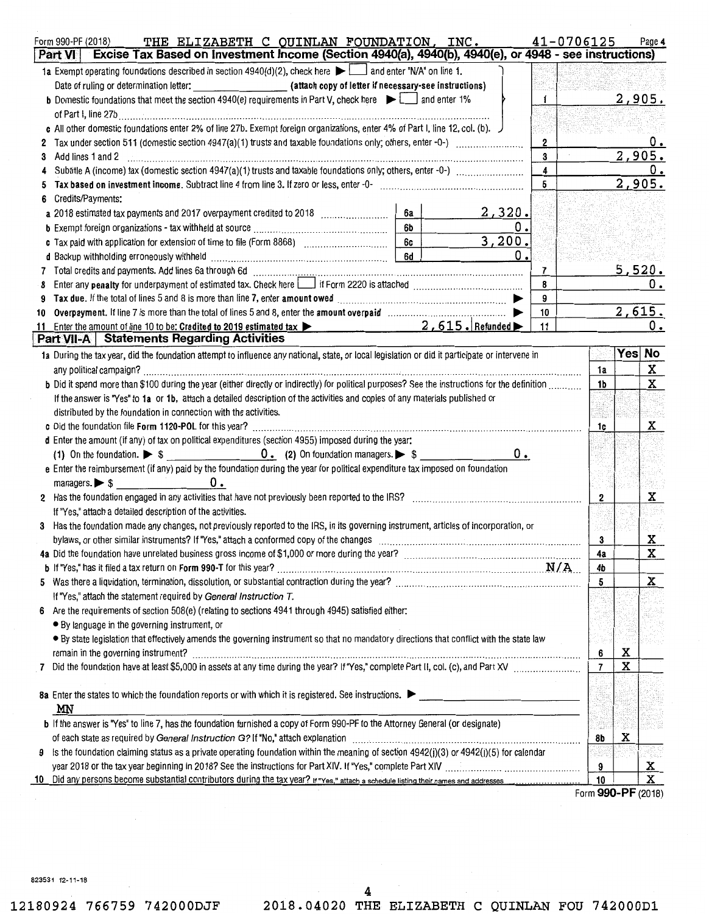| Form 990-PF (2018)<br>Part VI | THE ELIZABETH C QUINLAN FOUNDATION, INC.<br>Excise Tax Based on Investment Income (Section 4940(a), 4940(b), 4940(e), or 4948 - see instructions) |    |                    |        |             | 41-0706125 |                |   | Page 4        |
|-------------------------------|---------------------------------------------------------------------------------------------------------------------------------------------------|----|--------------------|--------|-------------|------------|----------------|---|---------------|
|                               | 1a Exempt operating foundations described in section $4940(d)(2)$ , check here $\blacktriangleright$ and enter "N/A" on line 1.                   |    |                    |        |             |            |                |   |               |
|                               |                                                                                                                                                   |    |                    |        |             |            |                |   |               |
|                               | <b>b</b> Domestic foundations that meet the section 4940(e) requirements in Part V, check here $\blacktriangleright$ and enter 1%                 |    |                    |        | 1           |            |                |   | <u>2,905.</u> |
|                               | of Part I, line 27b                                                                                                                               |    |                    |        |             |            |                |   |               |
|                               | c All other domestic foundations enter 2% of line 27b. Exempt foreign organizations, enter 4% of Part I, line 12, col. (b).                       |    |                    |        |             |            |                |   |               |
|                               |                                                                                                                                                   |    |                    |        | $\mathbf 2$ |            |                |   |               |
| 3 Add lines 1 and 2           |                                                                                                                                                   |    |                    |        | 3           |            |                |   | 2,905.        |
| 4                             |                                                                                                                                                   |    |                    |        | 4           |            |                |   |               |
|                               |                                                                                                                                                   |    |                    |        | 5           |            |                |   | 2,905.        |
| Credits/Payments:<br>6        |                                                                                                                                                   |    |                    |        |             |            |                |   |               |
|                               |                                                                                                                                                   | 6a |                    | 2,320. |             |            |                |   |               |
|                               |                                                                                                                                                   | 6b |                    | о.     |             |            |                |   |               |
|                               |                                                                                                                                                   | 6c |                    | 3,200. |             |            |                |   |               |
|                               |                                                                                                                                                   | 6d |                    | 0.     |             |            |                |   |               |
|                               |                                                                                                                                                   |    |                    |        | 7           |            |                |   | <u>5,520.</u> |
| 8                             |                                                                                                                                                   |    |                    |        | 8           |            |                |   | 0.            |
| 9                             |                                                                                                                                                   |    |                    |        | 9           |            |                |   |               |
|                               |                                                                                                                                                   |    |                    |        | 10          |            |                |   | 2,615.        |
| 10                            | Enter the amount of line 10 to be: Credited to 2019 estimated tax $\blacktriangleright$                                                           |    | $2,615$ . Refunded |        | 11          |            |                |   | 0.            |
| 11                            | Part VII-A   Statements Regarding Activities                                                                                                      |    |                    |        |             |            |                |   |               |
|                               | 1a During the tax year, did the foundation attempt to influence any national, state, or local legislation or did it participate or intervene in   |    |                    |        |             |            |                |   | Yes No        |
|                               |                                                                                                                                                   |    |                    |        |             |            | 1a             |   | X             |
| any political campaign?       | b Did it spend more than \$100 during the year (either directly or indirectly) for political purposes? See the instructions for the definition    |    |                    |        |             |            | 1b             |   | X             |
|                               |                                                                                                                                                   |    |                    |        |             |            |                |   |               |
|                               | If the answer is "Yes" to 1a or 1b, attach a detailed description of the activities and copies of any materials published or                      |    |                    |        |             |            |                |   |               |
|                               | distributed by the foundation in connection with the activities.                                                                                  |    |                    |        |             |            |                |   |               |
|                               | d Enter the amount (if any) of tax on political expenditures (section 4955) imposed during the year:                                              |    |                    |        |             |            | 1c             |   | $\mathbf{x}$  |
|                               | (1) On the foundation. $\triangleright$ \$                                                                                                        |    |                    | 0.     |             |            |                |   |               |
|                               | e Enter the reimbursement (if any) paid by the foundation during the year for political expenditure tax imposed on foundation                     |    |                    |        |             |            |                |   |               |
|                               | $m$ anagers. $\triangleright$ \$                                                                                                                  |    |                    |        |             |            |                |   |               |
|                               | 0.                                                                                                                                                |    |                    |        |             |            |                |   |               |
|                               | 2 Has the foundation engaged in any activities that have not previously been reported to the IRS?                                                 |    |                    |        |             |            | 2              |   | x             |
|                               | If "Yes," attach a detailed description of the activities.                                                                                        |    |                    |        |             |            |                |   |               |
| 3                             | Has the foundation made any changes, not previously reported to the IRS, in its governing instrument, articles of incorporation, or               |    |                    |        |             |            |                |   |               |
|                               | bylaws, or other similar instruments? If "Yes," attach a conformed copy of the changes                                                            |    |                    |        |             |            | 3              |   | <u>x</u><br>X |
|                               |                                                                                                                                                   |    |                    |        |             |            | 4a             |   |               |
|                               | N/A<br>b If "Yes," has it filed a tax return on Form 990-T for this year?                                                                         |    |                    |        |             |            | 4b             |   |               |
|                               |                                                                                                                                                   |    |                    |        |             |            | 5              |   | X             |
|                               | If "Yes," attach the statement required by General Instruction T.                                                                                 |    |                    |        |             |            |                |   |               |
|                               | Are the requirements of section 508(e) (relating to sections 4941 through 4945) satisfied either:                                                 |    |                    |        |             |            |                |   |               |
|                               | • By language in the governing instrument, or                                                                                                     |    |                    |        |             |            |                |   |               |
|                               | . By state legislation that effectively amends the governing instrument so that no mandatory directions that conflict with the state law          |    |                    |        |             |            |                |   |               |
|                               | remain in the governing instrument?                                                                                                               |    |                    |        |             |            | 6              | х |               |
| 7                             |                                                                                                                                                   |    |                    |        |             |            | $\overline{7}$ | X |               |
|                               |                                                                                                                                                   |    |                    |        |             |            |                |   |               |
|                               | 8a Enter the states to which the foundation reports or with which it is registered. See instructions. $\blacktriangleright$                       |    |                    |        |             |            |                |   |               |
| ΜN                            |                                                                                                                                                   |    |                    |        |             |            |                |   |               |
|                               | b If the answer is "Yes" to line 7, has the foundation furnished a copy of Form 990-PF to the Attorney General (or designate)                     |    |                    |        |             |            |                |   |               |
|                               | of each state as required by General Instruction G? If "No," attach explanation                                                                   |    |                    |        |             |            | 8b             | х |               |
| 9                             | Is the foundation claiming status as a private operating foundation within the meaning of section $4942(j)(3)$ or $4942(j)(5)$ for calendar       |    |                    |        |             |            |                |   |               |
|                               |                                                                                                                                                   |    |                    |        |             |            | 9              |   | <u>x</u>      |
| 10                            |                                                                                                                                                   |    |                    |        |             |            | 10             |   | X             |

Form **990-PF** (2018)

823531 12·11-18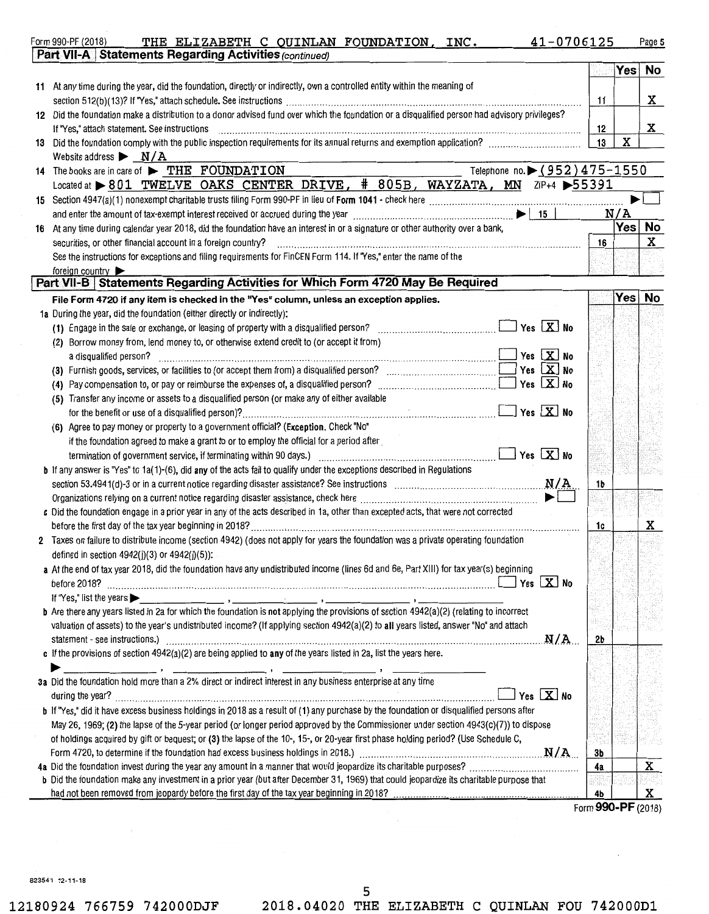| THE ELIZABETH C QUINLAN FOUNDATION, INC. 41-0706125<br>Form 990-PF (2018)<br>Part VII-A Statements Regarding Activities (continued)               |    |        | Page 5 |
|---------------------------------------------------------------------------------------------------------------------------------------------------|----|--------|--------|
|                                                                                                                                                   |    | Yes No |        |
|                                                                                                                                                   |    |        |        |
| 11 At any time during the year, did the foundation, directly or indirectly, own a controlled entity within the meaning of                         |    |        |        |
|                                                                                                                                                   | 11 |        | X      |
| 12 Did the foundation make a distribution to a donor advised fund over which the foundation or a disqualified person had advisory privileges?     |    |        |        |
| If "Yes," attach statement. See instructions                                                                                                      | 12 |        | X      |
|                                                                                                                                                   | 13 | X      |        |
| Website address $\triangleright$ $\sqrt{\text{A}}$                                                                                                |    |        |        |
| Telephone no. $(952)475 - 1550$<br>14 The books are in care of FIHE FOUNDATION                                                                    |    |        |        |
| Located at >801 TWELVE OAKS CENTER DRIVE, #805B, WAYZATA, MN ZIP+4 >55391                                                                         |    |        |        |
|                                                                                                                                                   |    |        |        |
| and enter the amount of tax-exempt interest received or accrued during the year<br>15                                                             |    | N/A    |        |
| 16 At any time during calendar year 2018, did the foundation have an interest in or a signature or other authority over a bank,                   |    | Yes    | No     |
| securities, or other financial account in a foreign country?                                                                                      | 16 |        | X      |
| See the instructions for exceptions and filing requirements for FinCEN Form 114. If "Yes," enter the name of the                                  |    |        |        |
| foreign country                                                                                                                                   |    |        |        |
| Part VII-B   Statements Regarding Activities for Which Form 4720 May Be Required                                                                  |    |        |        |
| File Form 4720 if any item is checked in the "Yes" column, unless an exception applies.                                                           |    | Yes No |        |
| 1a During the year, did the foundation (either directly or indirectly):                                                                           |    |        |        |
| $\sqrt{ }$ Yes $\boxed{\textbf{X}}$ No<br>(1) Engage in the sale or exchange, or leasing of property with a disqualified person?                  |    |        |        |
| (2) Borrow money from, lend money to, or otherwise extend credit to (or accept it from)                                                           |    |        |        |
| Yes $X$ No<br>a disqualified person?                                                                                                              |    |        |        |
| Yes $X$ No<br>(3) Furnish goods, services, or facilities to (or accept them from) a disqualified person?                                          |    |        |        |
| Yes $X$ No                                                                                                                                        |    |        |        |
| (5) Transfer any income or assets to a disqualified person (or make any of either available                                                       |    |        |        |
| $\sqrt{2}$ Yes $\boxed{\mathbf{X}}$ No                                                                                                            |    |        |        |
| (6) Agree to pay money or property to a government official? (Exception. Check "No"                                                               |    |        |        |
| if the foundation agreed to make a grant to or to employ the official for a period after                                                          |    |        |        |
|                                                                                                                                                   |    |        |        |
| <b>b</b> If any answer is "Yes" to 1a(1)-(6), did any of the acts fail to qualify under the exceptions described in Regulations                   |    |        |        |
|                                                                                                                                                   | 1b |        |        |
|                                                                                                                                                   |    |        |        |
| c Did the foundation engage in a prior year in any of the acts described in 1a, other than excepted acts, that were not corrected                 |    |        |        |
|                                                                                                                                                   | 1c |        | x      |
| 2 Taxes on failure to distribute income (section 4942) (does not apply for years the foundation was a private operating foundation                |    |        |        |
| defined in section 4942(j)(3) or 4942(j)(5)):                                                                                                     |    |        |        |
| a At the end of tax year 2018, did the foundation have any undistributed income (lines 6d and 6e, Part XIII) for tax year(s) beginning            |    |        |        |
| 」Yes LΧ No                                                                                                                                        |    |        |        |
| If "Yes," list the years<br><u> 1980 - Johann Harry Harry Harry Harry Harry Harry Harry Harry Harry Harry Harry Harry Harry Harry Harry Harry</u> |    |        |        |
| b Are there any years listed in 2a for which the foundation is not applying the provisions of section 4942(a)(2) (relating to incorrect           |    |        |        |
| valuation of assets) to the year's undistributed income? (If applying section 4942(a)(2) to all years listed, answer "No" and attach              |    |        |        |
| N/A<br>statement - see instructions.)                                                                                                             | 2Ь |        |        |
| c If the provisions of section $4942(a)(2)$ are being applied to any of the years listed in 2a, list the years here.                              |    |        |        |
|                                                                                                                                                   |    |        |        |
| 3a Did the foundation hold more than a 2% direct or indirect interest in any business enterprise at any time                                      |    |        |        |
| Yes $X$ No                                                                                                                                        |    |        |        |
|                                                                                                                                                   |    |        |        |

12180924 766759 742000DJF 2018.04020 THE ELIZABETH C QUINLAN FOU 742000D1

Form 990-PF (2018)

5

Form 4720, to determine if the foundation had excess business holdings in 2018.)<br>Did the foundation invest during the year any amount in a manner that would jeopardize its charitable purposes? ............................

had not been removed from jeopardy before the first day of the tax year beginning in 2018? ............ .. ... .. . . . . . . . . . .. ..................... ........... . . . 4b X

4a Did the foundation invest during the year any amount in a manner that would jeopardize its charitable purposes? . . . . . . . . . . . . . . . . . . . . . . . . . . . . . . . . . . . . . . . 4a X

b If ''Yes," did it have excess business holdings in 2018 as a result of (1) any purchase by the foundation or disqualified persons after May 26, 1969; (2) the lapse of the 5-year period (or longer period approved by the Commissioner under section 4943(c)(7)) to dispose of holdings acquired by gift or bequest; or (3) the lapse of the 10-, 15-, or 20-year first phase holding period? (Use Schedule C,

b Did the foundation make any investment in a prior year (but after December 31, 1969) that could jeopardize its charitable purpose that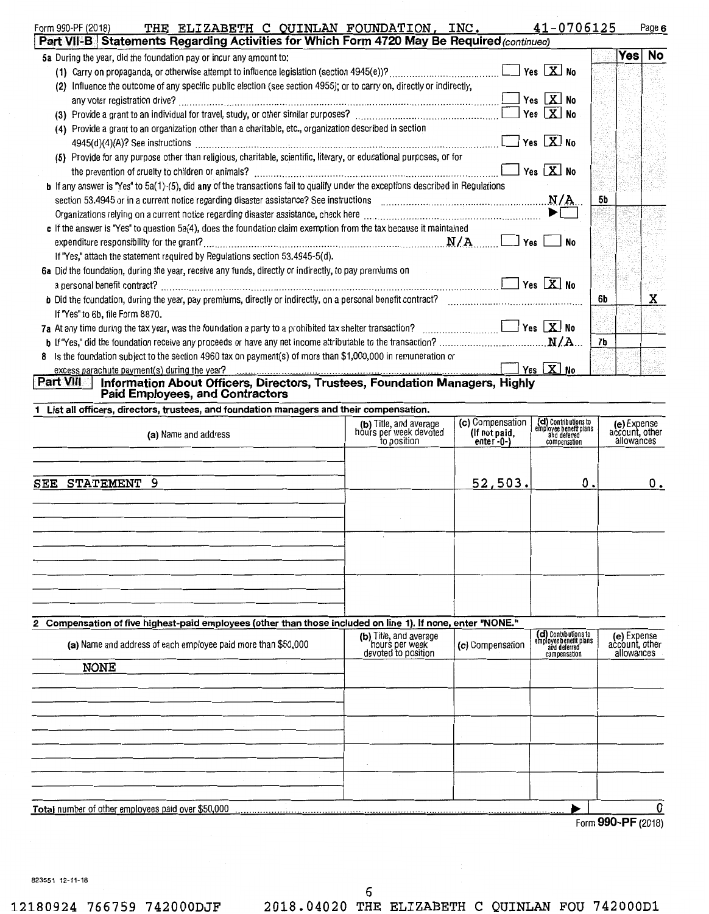| THE ELIZABETH C QUINLAN FOUNDATION, INC.<br>Form 990-PF (2018)                                                                      |                                       |                               | 41-0706125                                                                     |    |                           | Page 6         |
|-------------------------------------------------------------------------------------------------------------------------------------|---------------------------------------|-------------------------------|--------------------------------------------------------------------------------|----|---------------------------|----------------|
| Part VII-B Statements Regarding Activities for Which Form 4720 May Be Required (continued)                                          |                                       |                               |                                                                                |    |                           |                |
| 5a During the year, did the foundation pay or incur any amount to:                                                                  |                                       |                               |                                                                                |    |                           | Yes No         |
|                                                                                                                                     |                                       |                               |                                                                                |    |                           |                |
| (2) Influence the outcome of any specific public election (see section 4955); or to carry on, directly or indirectly,               |                                       |                               |                                                                                |    |                           |                |
|                                                                                                                                     |                                       |                               |                                                                                |    |                           |                |
|                                                                                                                                     |                                       |                               |                                                                                |    |                           |                |
| (4) Provide a grant to an organization other than a charitable, etc., organization described in section                             |                                       |                               |                                                                                |    |                           |                |
|                                                                                                                                     |                                       |                               |                                                                                |    |                           |                |
| (5) Provide for any purpose other than religious, charitable, scientific, literary, or educational purposes, or for                 |                                       |                               |                                                                                |    |                           |                |
|                                                                                                                                     |                                       |                               |                                                                                |    |                           |                |
| b If any answer is "Yes" to 5a(1)-(5), did any of the transactions fail to qualify under the exceptions described in Regulations    |                                       |                               |                                                                                |    |                           |                |
|                                                                                                                                     |                                       |                               |                                                                                | 5b |                           |                |
|                                                                                                                                     |                                       |                               |                                                                                |    |                           |                |
| c If the answer is "Yes" to question 5a(4), does the foundation claim exemption from the tax because it maintained                  |                                       |                               |                                                                                |    |                           |                |
|                                                                                                                                     |                                       |                               |                                                                                |    |                           |                |
| If "Yes," attach the statement required by Regulations section 53.4945-5(d).                                                        |                                       |                               |                                                                                |    |                           |                |
| 6a Did the foundation, during the year, receive any funds, directly or indirectly, to pay premiums on                               | $\sim 10^{-11}$                       |                               |                                                                                |    |                           |                |
|                                                                                                                                     |                                       |                               |                                                                                |    |                           |                |
| b Did the foundation, during the year, pay premiums, directly or indirectly, on a personal benefit contract?                        |                                       |                               |                                                                                | 6b |                           | x              |
| If "Yes" to 6b, file Form 8870.                                                                                                     |                                       |                               |                                                                                |    |                           |                |
| 7a At any time during the tax year, was the foundation a party to a prohibited tax shelter transaction? $\ldots$ $\ldots$ $\ldots$  |                                       |                               |                                                                                |    |                           |                |
|                                                                                                                                     |                                       |                               |                                                                                | 7b |                           |                |
| Is the foundation subject to the section 4960 tax on payment(s) of more than \$1,000,000 in remuneration or<br>8                    |                                       |                               |                                                                                |    |                           |                |
|                                                                                                                                     |                                       |                               |                                                                                |    |                           |                |
| Information About Officers, Directors, Trustees, Foundation Managers, Highly<br>Part VIII<br><b>Paid Employees, and Contractors</b> |                                       |                               |                                                                                |    |                           |                |
| 1 List all officers, directors, trustees, and foundation managers and their compensation.                                           |                                       |                               |                                                                                |    |                           |                |
| (a) Name and address                                                                                                                | (b) Title, and average                | (c) Compensation              |                                                                                |    |                           |                |
|                                                                                                                                     | hours per week devoted<br>to position | (If not paid,<br>enter-0- $)$ | (d) Contributions to<br>employee benefit plans<br>and deferred<br>compensation |    | (e) Expense<br>allowances | account, other |
|                                                                                                                                     |                                       |                               |                                                                                |    |                           |                |
|                                                                                                                                     |                                       |                               |                                                                                |    |                           |                |
|                                                                                                                                     |                                       | 52, 503.                      | 0.1                                                                            |    |                           | ο.             |
| SEE STATEMENT 9                                                                                                                     |                                       |                               |                                                                                |    |                           |                |
|                                                                                                                                     |                                       |                               |                                                                                |    |                           |                |
|                                                                                                                                     |                                       |                               |                                                                                |    |                           |                |
|                                                                                                                                     |                                       |                               |                                                                                |    |                           |                |
|                                                                                                                                     |                                       |                               |                                                                                |    |                           |                |
|                                                                                                                                     |                                       |                               |                                                                                |    |                           |                |
|                                                                                                                                     |                                       |                               |                                                                                |    |                           |                |
|                                                                                                                                     |                                       |                               |                                                                                |    |                           |                |
|                                                                                                                                     |                                       |                               |                                                                                |    |                           |                |
|                                                                                                                                     |                                       |                               |                                                                                |    |                           |                |
| 2 Compensation of five highest-paid employees (other than those included on line 1). If none, enter "NONE."                         | (b) Title, and average                |                               | (d) Contributions to                                                           |    | (e) Expense               |                |
| (a) Name and address of each employee paid more than \$50,000                                                                       | hours per week                        | (c) Compensation              | employee benefit plans<br>and deferred                                         |    | account, other            |                |
|                                                                                                                                     | devoted to position                   |                               | compensation                                                                   |    | allowances                |                |
| <b>NONE</b>                                                                                                                         |                                       |                               |                                                                                |    |                           |                |
|                                                                                                                                     |                                       |                               |                                                                                |    |                           |                |
|                                                                                                                                     |                                       |                               |                                                                                |    |                           |                |
|                                                                                                                                     |                                       |                               |                                                                                |    |                           |                |
|                                                                                                                                     |                                       |                               |                                                                                |    |                           |                |
|                                                                                                                                     |                                       |                               |                                                                                |    |                           |                |
|                                                                                                                                     |                                       |                               |                                                                                |    |                           |                |

Total number of other employees paid over \$50 000 ........................................................................................................................ 1 Form 990-PF (2018)

 $\overline{\mathbf{0}}$ 

823551 12-11-18

12180924 766759 742000DJF 2018.04020 THE ELIZABETH C QUINLAN FOU 742000D1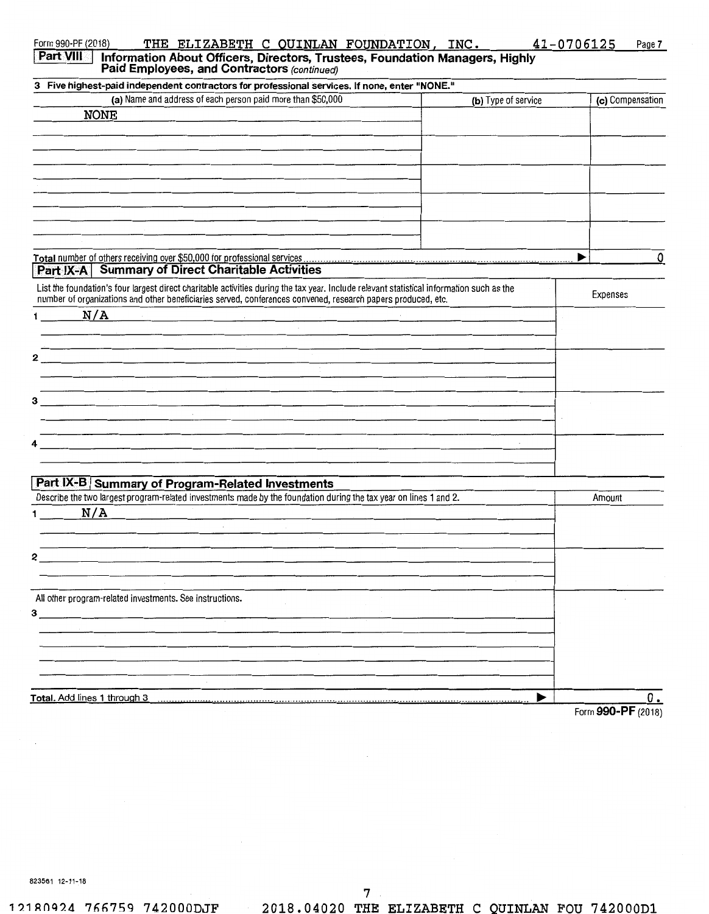| 3 Five highest-paid independent contractors for professional services. If none, enter "NONE."                                                                                                                                                             |                     |                  |
|-----------------------------------------------------------------------------------------------------------------------------------------------------------------------------------------------------------------------------------------------------------|---------------------|------------------|
| (a) Name and address of each person paid more than \$50,000                                                                                                                                                                                               | (b) Type of service | (c) Compensation |
| <b>NONE</b>                                                                                                                                                                                                                                               |                     |                  |
|                                                                                                                                                                                                                                                           |                     |                  |
|                                                                                                                                                                                                                                                           |                     |                  |
|                                                                                                                                                                                                                                                           |                     |                  |
|                                                                                                                                                                                                                                                           |                     |                  |
|                                                                                                                                                                                                                                                           |                     |                  |
|                                                                                                                                                                                                                                                           |                     |                  |
|                                                                                                                                                                                                                                                           |                     |                  |
|                                                                                                                                                                                                                                                           |                     |                  |
|                                                                                                                                                                                                                                                           |                     |                  |
|                                                                                                                                                                                                                                                           |                     | 0<br>▶           |
| <b>Part IX-A</b> Summary of Direct Charitable Activities                                                                                                                                                                                                  |                     |                  |
|                                                                                                                                                                                                                                                           |                     |                  |
| List the foundation's four largest direct charitable activities during the tax year. Include relevant statistical information such as the<br>number of organizations and other beneficiaries served, conferences convened, research papers produced, etc. |                     | Expenses         |
| N/A<br>$\mathbf 1$                                                                                                                                                                                                                                        |                     |                  |
|                                                                                                                                                                                                                                                           |                     |                  |
|                                                                                                                                                                                                                                                           |                     |                  |
| 2                                                                                                                                                                                                                                                         |                     |                  |
|                                                                                                                                                                                                                                                           |                     |                  |
| <u> 1980 - Jan Stein Stein Stein Stein Stein Stein Stein Stein Stein Stein Stein Stein Stein Stein Stein Stein St</u>                                                                                                                                     |                     |                  |
| 3<br>ta de la constitución de la constitución de la constitución de la constitución de la constitución de la constitución<br>La constitución de la constitución de la constitución de la constitución de la constitución de la consti                     |                     |                  |
|                                                                                                                                                                                                                                                           |                     |                  |
|                                                                                                                                                                                                                                                           |                     |                  |
| 4<br>and the control of the control of the control of the control of the control of the control of the control of the                                                                                                                                     |                     |                  |
|                                                                                                                                                                                                                                                           |                     |                  |
|                                                                                                                                                                                                                                                           |                     |                  |
| Part IX-B Summary of Program-Related Investments                                                                                                                                                                                                          |                     |                  |
| Describe the two largest program-related investments made by the foundation during the tax year on lines 1 and 2.                                                                                                                                         |                     | Amount           |
| N/A<br>1 $\sqrt{2}$                                                                                                                                                                                                                                       |                     |                  |
|                                                                                                                                                                                                                                                           |                     |                  |
|                                                                                                                                                                                                                                                           |                     |                  |
|                                                                                                                                                                                                                                                           |                     |                  |
| 2                                                                                                                                                                                                                                                         |                     |                  |
|                                                                                                                                                                                                                                                           |                     |                  |
| All other program-related investments. See instructions.                                                                                                                                                                                                  |                     |                  |
| $3 \qquad \qquad$                                                                                                                                                                                                                                         |                     |                  |
|                                                                                                                                                                                                                                                           |                     |                  |
|                                                                                                                                                                                                                                                           |                     |                  |
|                                                                                                                                                                                                                                                           |                     |                  |
|                                                                                                                                                                                                                                                           |                     |                  |
|                                                                                                                                                                                                                                                           |                     |                  |
| Total. Add lines 1 through 3                                                                                                                                                                                                                              | ▶                   | 0.               |
|                                                                                                                                                                                                                                                           |                     |                  |

823561 12-11-18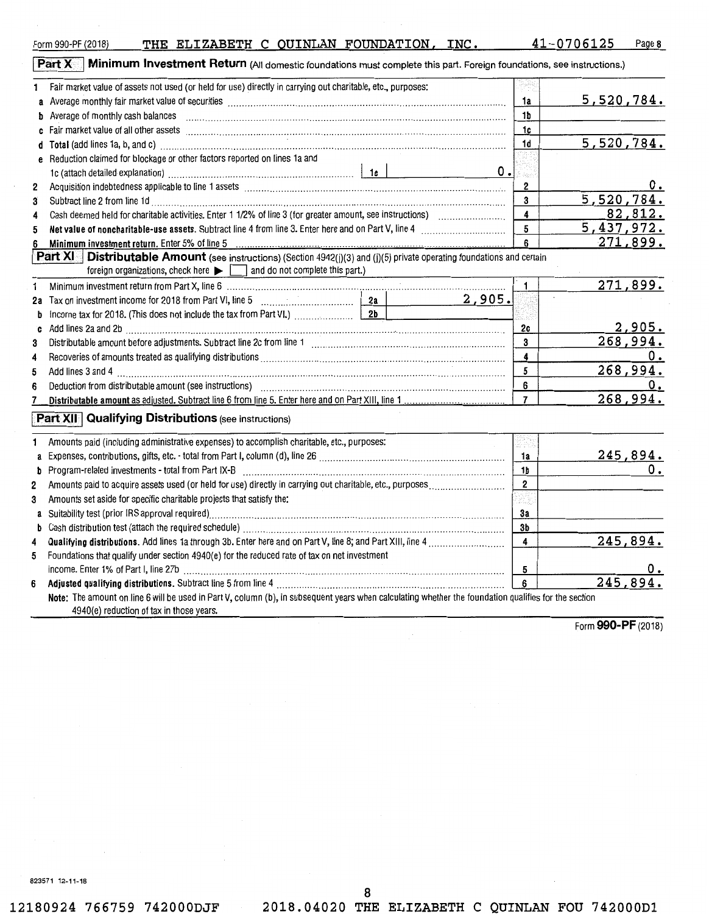12180924 766759 742000DJF 2018.04020 THE ELIZABETH C QUINLAN FOU 742000D1

8

| Acquisition indebtedness applicable to line 1 assets with an example continuum contracts and incrementation in                                       | z                       |             |
|------------------------------------------------------------------------------------------------------------------------------------------------------|-------------------------|-------------|
| Subtract line 2 from line 1d                                                                                                                         | 3                       | 5,520,78    |
|                                                                                                                                                      | $\overline{\mathbf{4}}$ | 82,81       |
|                                                                                                                                                      | 5                       | 5,437,97    |
| Minimum investment return. Enter 5% of line 5                                                                                                        | 6                       | 271,89      |
| Part XI Distributable Amount (see instructions) (Section 4942(j)(3) and (j)(5) private operating foundations and certain                             |                         |             |
| foreign organizations, check here $\blacktriangleright$ $\Box$ and do not complete this part.)                                                       |                         |             |
| Minimum investment return from Part X, line 6 [1] [1] Minimum material contracts and the state of the state of                                       |                         | 271,89      |
|                                                                                                                                                      | 2,905.                  |             |
|                                                                                                                                                      |                         |             |
|                                                                                                                                                      | 2c                      | <u>2,90</u> |
|                                                                                                                                                      | 3                       | 268,99      |
|                                                                                                                                                      | 4                       |             |
|                                                                                                                                                      | 5                       | 268,99      |
|                                                                                                                                                      | 6                       |             |
|                                                                                                                                                      | $\overline{7}$          | 268,99      |
| Part XII Qualifying Distributions (see instructions)                                                                                                 |                         |             |
| Amounts paid (including administrative expenses) to accomplish charitable, etc., purposes:                                                           |                         |             |
|                                                                                                                                                      | 1a                      | 245,89      |
|                                                                                                                                                      | 1b                      |             |
|                                                                                                                                                      | $\mathbf{2}$            |             |
| Amounts set aside for specific charitable projects that satisfy the:                                                                                 | 37.Z                    |             |
|                                                                                                                                                      | За                      |             |
|                                                                                                                                                      | 3b                      |             |
| Qualifying distributions. Add lines 1a through 3b. Enter here and on Part V, line 8; and Part XIII, line 4                                           | 4                       | 245,89      |
| Foundations that qualify under section 4940(e) for the reduced rate of tax on net investment                                                         |                         |             |
| income. Enter 1% of Part I, line 27b (1000) (2000) (2000) (2000) (2000) (2000) (2000) (2000) (2000) (2000) (20                                       | 5                       |             |
|                                                                                                                                                      | 6                       | 245,89      |
| Note: The amount on line 6 will be used in Part V, column (b), in subsequent years when calculating whether the foundation qualifies for the section |                         |             |
| 4940(e) reduction of tax in those years.                                                                                                             |                         |             |
|                                                                                                                                                      |                         |             |

**Part X II Minimum Investment Return** (All domestic foundations must complete this part. Foreign foundations, see instructions.)

| 1            | Fair market value of assets not used (or held for use) directly in carrying out charitable, etc., purposes:                                                                                                                           |                         |               |
|--------------|---------------------------------------------------------------------------------------------------------------------------------------------------------------------------------------------------------------------------------------|-------------------------|---------------|
|              |                                                                                                                                                                                                                                       | 1a                      | 5,520,784.    |
| d            | Average of monthly cash balances entity contains and an architecture of monthly cash balances entity contains and the state of the state of the state of the state of the state of the state of the state of the state of the         | 1 <sub>b</sub>          |               |
| c            | Fair market value of all other assets [111] matter contained a state of all other assets [11] market value of all other assets [11] matter contained a state of all other assets [11] matter contained a state of the state of        | 1c                      |               |
|              |                                                                                                                                                                                                                                       | 1d                      | 5,520,784.    |
|              | Reduction claimed for blockage or other factors reported on lines 1a and                                                                                                                                                              |                         |               |
|              | 1c (attach detailed explanation) measurements are also according to the late of the late of the late of the late of the late of the late of the late of the late of the late of the late of the late of the late of the late o<br>0.1 | i bash                  |               |
| $\mathbf{2}$ |                                                                                                                                                                                                                                       | $\overline{2}$          | 0.            |
| 3            |                                                                                                                                                                                                                                       | 3                       | 5,520,784.    |
| 4            |                                                                                                                                                                                                                                       | 4                       | 82,812.       |
| 5            |                                                                                                                                                                                                                                       | 5                       | 5,437,972.    |
| 6            |                                                                                                                                                                                                                                       | 6                       | 271,899.      |
|              | Part XI   Distributable Amount (see instructions) (Section 4942(j)(3) and (j)(5) private operating foundations and certain<br>foreign organizations, check here $\blacktriangleright$ $\Box$ and do not complete this part.)          |                         |               |
| 1.           | Minimum investment return from Part X, line 6 [1] [1] Minimum material contracts and the intervention of the Mi                                                                                                                       |                         | 271,899.      |
| 2а           | 2,905.                                                                                                                                                                                                                                |                         |               |
| b            |                                                                                                                                                                                                                                       |                         |               |
| c            |                                                                                                                                                                                                                                       | 2c                      | <u>2,905.</u> |
| 3            |                                                                                                                                                                                                                                       | 3                       | 268,994.      |
| 4            |                                                                                                                                                                                                                                       | $\overline{\mathbf{4}}$ | 0.            |
| 5            |                                                                                                                                                                                                                                       | 5                       | 268,994.      |
| 6            | Deduction from distributable amount (see instructions) manufactured contained and the contained and the Deduction of L                                                                                                                | 6                       | ο.            |
| 7            |                                                                                                                                                                                                                                       | $\overline{7}$          | 268,994.      |
|              | <b>Part XII</b> Qualifying Distributions (see instructions)                                                                                                                                                                           |                         |               |
| 1.           | Amounts paid (including administrative expenses) to accomplish charitable, etc., purposes:                                                                                                                                            |                         |               |
| `a           |                                                                                                                                                                                                                                       | 1a                      | 245,894.      |
| b            |                                                                                                                                                                                                                                       | 1 <sub>b</sub>          | о.            |
| 2            |                                                                                                                                                                                                                                       | $\overline{2}$          |               |
| 3            | Amounts set aside for specific charitable projects that satisfy the:                                                                                                                                                                  |                         |               |
|              |                                                                                                                                                                                                                                       | За                      |               |
| b            |                                                                                                                                                                                                                                       | 3b                      |               |
| 4            |                                                                                                                                                                                                                                       | $\overline{\mathbf{4}}$ | 245,894.      |
| 5            | Foundations that qualify under section 4940(e) for the reduced rate of tax on net investment                                                                                                                                          |                         |               |
|              |                                                                                                                                                                                                                                       | 5                       | ο.            |
| 6            |                                                                                                                                                                                                                                       | 6                       | 245,894.      |
|              | Note: The amount on line 6 will be used in Part V, column (b), in subsequent years when calculating whether the foundation qualifies for the section                                                                                  |                         |               |
|              | 4940(e) reduction of tax in those years.                                                                                                                                                                                              |                         |               |

Form **990-PF** (2018)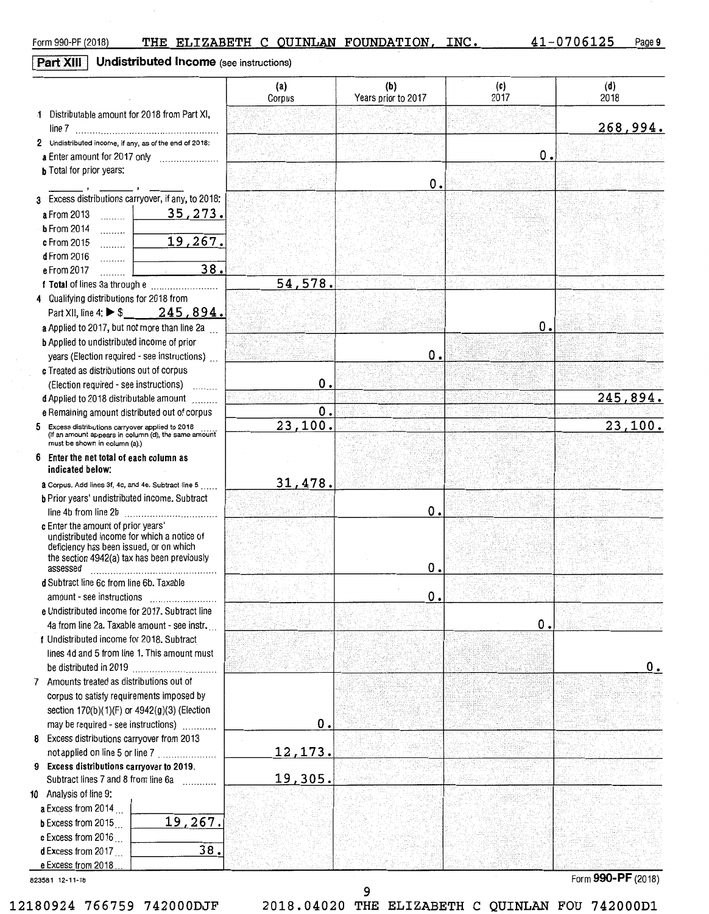# **Part XIII** Undistributed Income (see instructions)

|                                                                                                                                                                                        | (a)<br>Corpus  | (b)<br>Years prior to 2017 | (c)<br>2017 | (d)<br>2018        |
|----------------------------------------------------------------------------------------------------------------------------------------------------------------------------------------|----------------|----------------------------|-------------|--------------------|
| 1 Distributable amount for 2018 from Part XI,<br>line 7                                                                                                                                |                |                            |             | 268,994.           |
| 2 Undistributed income, if any, as of the end of 2018:                                                                                                                                 |                |                            |             |                    |
| a Enter amount for 2017 only                                                                                                                                                           |                |                            | 0.          |                    |
| <b>b</b> Total for prior years:                                                                                                                                                        |                | О.                         |             |                    |
| 3 Excess distributions carryover, if any, to 2018:                                                                                                                                     |                |                            |             |                    |
| 35, 273.<br>a From 2013<br>$\frac{1}{2}$                                                                                                                                               |                |                            |             |                    |
| $b$ From 2014                                                                                                                                                                          |                |                            |             |                    |
| .<br>19,267.<br>c From 2015<br>.                                                                                                                                                       |                |                            |             |                    |
| d From 2016<br>.                                                                                                                                                                       |                |                            |             |                    |
| 38.<br>e From 2017<br>.                                                                                                                                                                |                |                            |             |                    |
|                                                                                                                                                                                        | 54,578.        |                            |             |                    |
| 4 Qualifying distributions for 2018 from                                                                                                                                               |                |                            |             |                    |
| Part XII, line 4: $\triangleright$ \$ 245, 894.                                                                                                                                        |                |                            |             |                    |
| a Applied to 2017, but not more than line 2a                                                                                                                                           |                |                            | О.          |                    |
| <b>b</b> Applied to undistributed income of prior                                                                                                                                      |                |                            |             |                    |
| years (Election required - see instructions)                                                                                                                                           |                | О.                         |             |                    |
| c Treated as distributions out of corpus                                                                                                                                               |                |                            |             |                    |
| (Election required - see instructions)<br>1.1.1.1.1.1                                                                                                                                  | О.             |                            |             |                    |
| d Applied to 2018 distributable amount                                                                                                                                                 |                |                            |             | 245,894.           |
| e Remaining amount distributed out of corpus                                                                                                                                           | О.             |                            |             |                    |
| 5 Excess distributions carryover applied to 2018<br>(If an amount appears in column (d), the same amount<br>must be shown in column (a).)                                              | 23,100.        |                            |             | 23,100.            |
| 6 Enter the net total of each column as<br>indicated below:                                                                                                                            |                |                            |             |                    |
| a Corpus. Add lines 3f, 4c, and 4e. Subtract line 5                                                                                                                                    | 31,478.        |                            |             |                    |
| b Prior years' undistributed income. Subtract                                                                                                                                          |                |                            |             |                    |
|                                                                                                                                                                                        |                | о.                         |             |                    |
| c Enter the amount of prior years'<br>undistributed income for which a notice of<br>deficiency has been issued, or on which<br>the section 4942(a) tax has been previously<br>assessed |                | О.                         |             |                    |
| d Subtract line 6c from line 6b. Taxable                                                                                                                                               |                |                            |             |                    |
| amount - see instructions                                                                                                                                                              |                | О.                         |             |                    |
| e Undistributed income for 2017. Subtract line                                                                                                                                         |                |                            |             |                    |
| 4a from line 2a. Taxable amount - see instr.                                                                                                                                           |                |                            | О.          |                    |
| f Undistributed income for 2018. Subtract                                                                                                                                              |                |                            |             |                    |
| lines 4d and 5 from line 1. This amount must                                                                                                                                           |                |                            |             |                    |
|                                                                                                                                                                                        |                |                            |             | О.                 |
| 7 Amounts treated as distributions out of                                                                                                                                              |                |                            |             |                    |
| corpus to satisfy requirements imposed by                                                                                                                                              |                |                            |             |                    |
| section 170(b)(1)(F) or 4942(g)(3) (Election                                                                                                                                           |                |                            |             |                    |
| may be required - see instructions)                                                                                                                                                    | О.             |                            |             |                    |
| 8 Excess distributions carryover from 2013                                                                                                                                             |                |                            |             |                    |
| not applied on line 5 or line 7                                                                                                                                                        | <u>12,173.</u> |                            |             |                    |
| 9 Excess distributions carryover to 2019.<br>Subtract lines 7 and 8 from line 6a                                                                                                       | 19,305.        |                            |             |                    |
| 10 Analysis of line 9:                                                                                                                                                                 |                |                            |             |                    |
| a Excess from 2014                                                                                                                                                                     |                |                            |             |                    |
| 19,267.<br><b>b</b> Excess from $2015$                                                                                                                                                 |                |                            |             |                    |
| c Excess from 2016                                                                                                                                                                     |                |                            |             |                    |
| 38.<br><b>d</b> Excess from 2017                                                                                                                                                       |                |                            |             |                    |
| e Excess from 2018.                                                                                                                                                                    |                |                            |             |                    |
| 823581 12-11-18                                                                                                                                                                        |                |                            |             | Form 990-PF (2018) |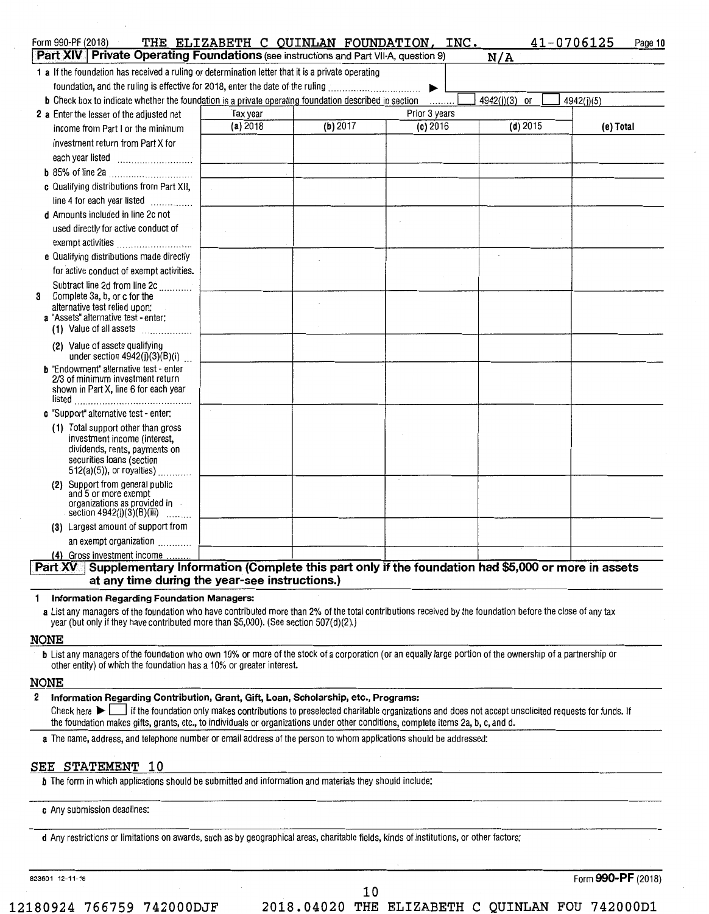| Form 990-PF (2018)                                                                                           | THE ELIZABETH C QUINLAN FOUNDATION, INC. |          |               |               | 41-0706125<br>Page 10 |
|--------------------------------------------------------------------------------------------------------------|------------------------------------------|----------|---------------|---------------|-----------------------|
| Part XIV   Private Operating Foundations (see instructions and Part VII-A, question 9)                       |                                          |          |               | N/A           |                       |
| 1 a If the foundation has received a ruling or determination letter that it is a private operating           |                                          |          |               |               |                       |
| foundation, and the ruling is effective for 2018, enter the date of the ruling                               |                                          |          |               |               |                       |
| <b>b</b> Check box to indicate whether the foundation is a private operating foundation described in section |                                          |          | .             | 4942(j)(3) or | 4942(j)(5)            |
| 2 a Enter the lesser of the adjusted net                                                                     | Tax year                                 |          | Prior 3 years |               |                       |
| income from Part I or the minimum                                                                            | (a) 2018                                 | (b) 2017 | $(c)$ 2016    | $(d)$ 2015    | (e) Total             |
| investment return from Part X for                                                                            |                                          |          |               |               |                       |
|                                                                                                              |                                          |          |               |               |                       |
| <b>b</b> 85% of line 2a                                                                                      |                                          |          |               |               |                       |
| c Qualifying distributions from Part XII,                                                                    |                                          |          |               |               |                       |
| line 4 for each year listed                                                                                  |                                          |          |               |               |                       |
| d Amounts included in line 2c not                                                                            |                                          |          |               |               |                       |
| used directly for active conduct of                                                                          |                                          |          |               |               |                       |
| exempt activities                                                                                            |                                          |          |               |               |                       |
| e Qualifying distributions made directly                                                                     |                                          |          |               |               |                       |
| for active conduct of exempt activities.                                                                     |                                          |          |               |               |                       |
| Subtract line 2d from line 2d<br>3                                                                           |                                          |          |               |               |                       |
| Complete 3a, b, or c for the<br>alternative test relied upon:                                                |                                          |          |               |               |                       |
| a "Assets" alternative test - enter:                                                                         |                                          |          |               |               |                       |
| (1) Value of all assets $\ldots$                                                                             |                                          |          |               |               |                       |
| (2) Value of assets qualifying                                                                               |                                          |          |               |               |                       |
| under section $4942(j)(3)(B)(i)$<br><b>b</b> "Endowment" alternative test - enter                            |                                          |          |               |               |                       |
| 2/3 of minimum investment return                                                                             |                                          |          |               |               |                       |
| shown in Part X, line 6 for each year                                                                        |                                          |          |               |               |                       |
|                                                                                                              |                                          |          |               |               |                       |
| c "Support" alternative test - enter:                                                                        |                                          |          |               |               |                       |
| (1) Total support other than gross<br>investment income (interest,                                           |                                          |          |               |               |                       |
| dividends, rents, payments on                                                                                |                                          |          |               |               |                       |
| securities loans (section<br>512(a)(5)), or royalties)                                                       |                                          |          |               |               |                       |
| (2) Support from general public                                                                              |                                          |          |               |               |                       |
| and 5 or more exempt                                                                                         |                                          |          |               |               |                       |
| organizations as provided in<br>section 4942(j)(3)(B)(iii)<br><b>Contractor</b>                              |                                          |          |               |               |                       |
| (3) Largest amount of support from                                                                           |                                          |          |               |               |                       |
| an exempt organization                                                                                       |                                          |          |               |               |                       |
| (4) Gross investment income                                                                                  |                                          |          |               |               |                       |

## **Part XV I** Supplementary Information (Complete this part only if the foundation had \$5,000 or more in assets at any time during the year-see instructions.)

**Information Regarding Foundation Managers:**   $\mathbf{1}$ 

**a** List any managers of the foundation who have contributed more than 2% of the total contributions received by the foundation before the close of any tax year (but only if they have contributed more than \$5,000). (See section 507(d)(2).)

#### **NONE**

**b** List any managers of the foundation who own 10% or more of the stock of a corporation (or an equally large portion of the ownership of a partnership or other entity) of which the foundation has a 10% or greater interest.

#### **NONE**

## **2 Information Regarding Contribution, Grant, Gift, Loan, Scholarship, etc., Programs:**

Check here  $\blacktriangleright$  if the foundation only makes contributions to preselected charitable organizations and does not accept unsolicited requests for funds. If the foundation makes gifts, grants, etc., to individuals or organizations under other conditions, complete items 2a, b, c, and d.

**a** The name, address, and telephone number or email address of the person to whom applications should be addressed:

## **SEE STATEMENT 10**

**b** The form in which applications should be submitted and information and materials they should include:

**c** Any submission deadlines:

**d** Any restrictions or limitations on awards, such as by geographical areas, charitable fields, kinds of institutions, or other factors:

823601 12-11-18 Form **990-PF** (2018)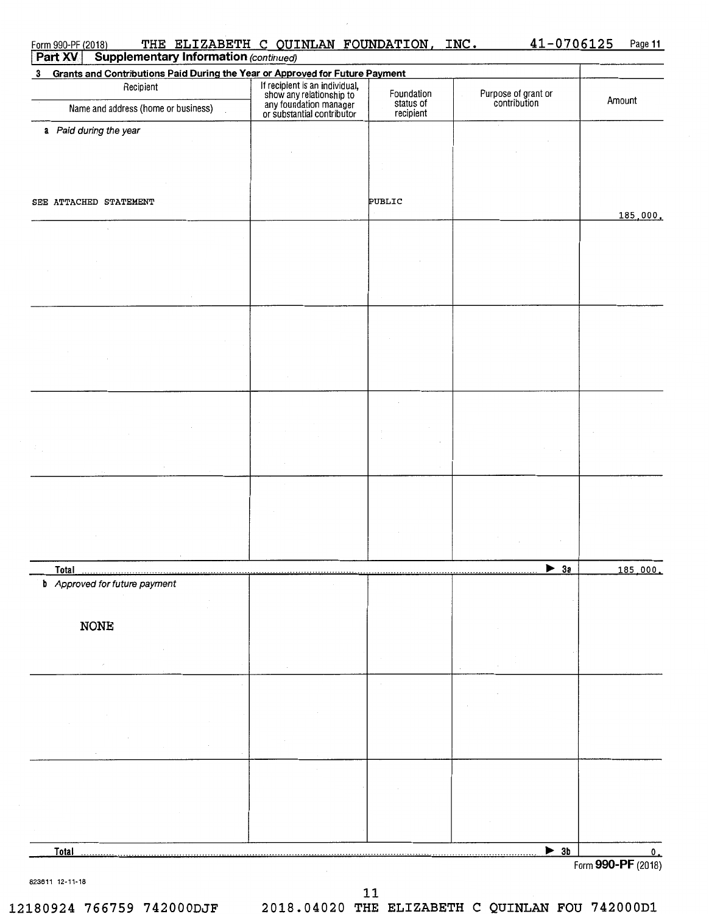| <b>Supplementary Information (continued)</b><br>Part XV                        |                                                                                                                    |                                      |                                     |          |
|--------------------------------------------------------------------------------|--------------------------------------------------------------------------------------------------------------------|--------------------------------------|-------------------------------------|----------|
| 3 Grants and Contributions Paid During the Year or Approved for Future Payment |                                                                                                                    |                                      |                                     |          |
| Recipient<br>Name and address (home or business)                               | If recipient is an individual,<br>show any relationship to<br>any foundation manager<br>or substantial contributor | Foundation<br>status of<br>recipient | Purpose of grant or<br>contribution | Amount   |
|                                                                                |                                                                                                                    |                                      |                                     |          |
| a Paid during the year                                                         |                                                                                                                    |                                      |                                     |          |
|                                                                                |                                                                                                                    |                                      |                                     |          |
|                                                                                |                                                                                                                    |                                      |                                     |          |
|                                                                                |                                                                                                                    |                                      |                                     |          |
| SEE ATTACHED STATEMENT                                                         |                                                                                                                    | PUBLIC                               |                                     |          |
|                                                                                |                                                                                                                    |                                      |                                     | 185,000. |
|                                                                                |                                                                                                                    |                                      |                                     |          |
|                                                                                |                                                                                                                    |                                      |                                     |          |
|                                                                                |                                                                                                                    |                                      |                                     |          |
|                                                                                |                                                                                                                    |                                      |                                     |          |
|                                                                                |                                                                                                                    |                                      |                                     |          |
|                                                                                |                                                                                                                    |                                      |                                     |          |
|                                                                                |                                                                                                                    |                                      |                                     |          |
|                                                                                |                                                                                                                    |                                      |                                     |          |
|                                                                                |                                                                                                                    |                                      |                                     |          |
|                                                                                |                                                                                                                    |                                      |                                     |          |
|                                                                                |                                                                                                                    |                                      |                                     |          |
|                                                                                |                                                                                                                    |                                      |                                     |          |
|                                                                                |                                                                                                                    |                                      |                                     |          |
|                                                                                |                                                                                                                    |                                      |                                     |          |
|                                                                                |                                                                                                                    |                                      |                                     |          |
|                                                                                |                                                                                                                    |                                      |                                     |          |
|                                                                                |                                                                                                                    |                                      |                                     |          |
|                                                                                |                                                                                                                    |                                      |                                     |          |
|                                                                                |                                                                                                                    |                                      |                                     |          |
| <b>Total</b>                                                                   |                                                                                                                    |                                      | $\blacktriangleright$ 3a            | 185,000. |
| <b>b</b> Approved for future payment                                           |                                                                                                                    |                                      |                                     |          |
|                                                                                |                                                                                                                    |                                      |                                     |          |
|                                                                                |                                                                                                                    |                                      |                                     |          |
| <b>NONE</b>                                                                    |                                                                                                                    |                                      |                                     |          |
|                                                                                |                                                                                                                    |                                      |                                     |          |
|                                                                                |                                                                                                                    |                                      |                                     |          |
|                                                                                |                                                                                                                    |                                      |                                     |          |
|                                                                                |                                                                                                                    |                                      |                                     |          |
|                                                                                |                                                                                                                    |                                      |                                     |          |
|                                                                                |                                                                                                                    |                                      |                                     |          |
|                                                                                |                                                                                                                    |                                      |                                     |          |
|                                                                                |                                                                                                                    |                                      |                                     |          |
|                                                                                |                                                                                                                    |                                      |                                     |          |
|                                                                                |                                                                                                                    |                                      |                                     |          |
|                                                                                |                                                                                                                    |                                      |                                     |          |
|                                                                                |                                                                                                                    |                                      |                                     |          |
| Total                                                                          |                                                                                                                    |                                      | $\triangleright$ 3b                 |          |

823611 12-11-18

**11** 

**12180924 766759 742000DJF 2018.04020 THE ELIZABETH C QUINLAN FOU 742000D1**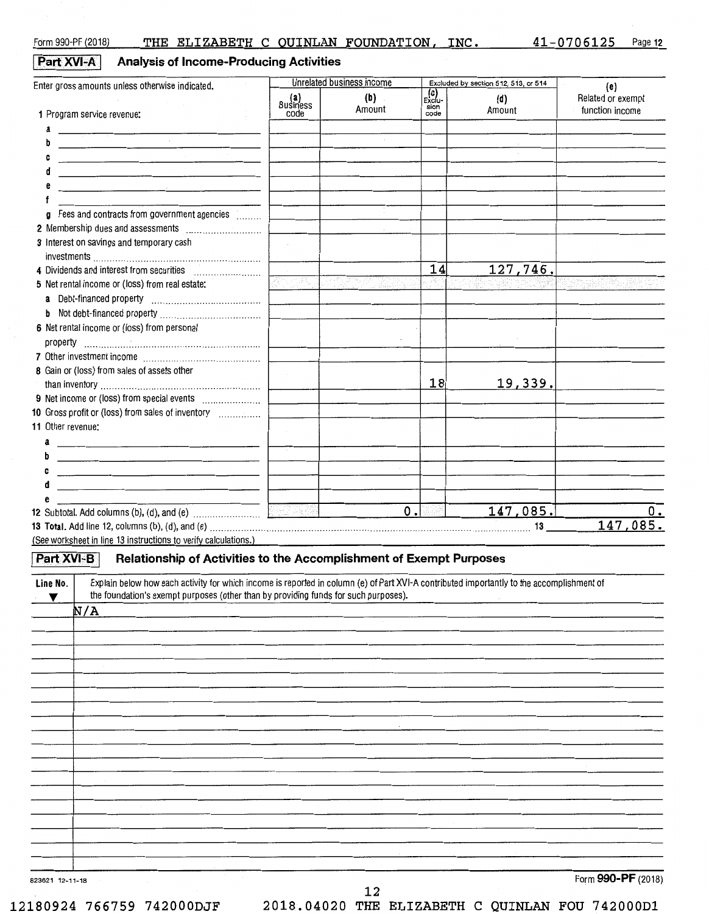Form 990-PF (2018) THE ELIZABETH C QUINLAN FOUNDATION, INC. 41-0706125 Page 12

**Part XVI-A** Analysis of Income-Producing Activities

| Enter gross amounts unless otherwise indicated.                                                                                                                                                                                |                         | Unrelated business income |                                    | Excluded by section 512, 513, or 514 | (e)                                  |  |
|--------------------------------------------------------------------------------------------------------------------------------------------------------------------------------------------------------------------------------|-------------------------|---------------------------|------------------------------------|--------------------------------------|--------------------------------------|--|
|                                                                                                                                                                                                                                | (a)<br>Business<br>code | (b)<br>Amount             | $E_{\rm Xc}^{(c)}$<br>sion<br>code | (d)<br>Amount                        | Related or exempt<br>function income |  |
| 1 Program service revenue:                                                                                                                                                                                                     |                         |                           |                                    |                                      |                                      |  |
| <u> 1980 - Johann Stein, mars an t-Stein Berger, mars an t-Stein Berger, mars an t-Stein Berger, mars an t-Stein</u>                                                                                                           |                         |                           |                                    |                                      |                                      |  |
| <u>a sa mga salawang mga sangayong mga sangayong mga sangayong mga sangayong mga sangayong mga sangayong mga sanga</u>                                                                                                         |                         |                           |                                    |                                      |                                      |  |
|                                                                                                                                                                                                                                |                         |                           |                                    |                                      |                                      |  |
|                                                                                                                                                                                                                                |                         |                           |                                    |                                      |                                      |  |
| <u> 1980 - Jan Sterling Sterling Sterling Sterling Sterling Sterling Sterling Sterling Sterling Sterling Sterling</u>                                                                                                          |                         |                           |                                    |                                      |                                      |  |
| Fees and contracts from government agencies [<br>a                                                                                                                                                                             |                         |                           |                                    |                                      |                                      |  |
|                                                                                                                                                                                                                                |                         |                           |                                    |                                      |                                      |  |
| 3 Interest on savings and temporary cash                                                                                                                                                                                       |                         |                           |                                    |                                      |                                      |  |
|                                                                                                                                                                                                                                |                         |                           | 14                                 | 127,746.                             |                                      |  |
| 5 Net rental income or (loss) from real estate:                                                                                                                                                                                |                         |                           |                                    |                                      |                                      |  |
|                                                                                                                                                                                                                                |                         |                           |                                    |                                      |                                      |  |
| b                                                                                                                                                                                                                              |                         |                           |                                    |                                      |                                      |  |
| 6 Net rental income or (loss) from personal                                                                                                                                                                                    |                         |                           |                                    |                                      |                                      |  |
|                                                                                                                                                                                                                                |                         |                           |                                    |                                      |                                      |  |
| 8 Gain or (loss) from sales of assets other                                                                                                                                                                                    |                         |                           | 18                                 | 19,339.                              |                                      |  |
|                                                                                                                                                                                                                                |                         |                           |                                    |                                      |                                      |  |
| 10 Gross profit or (loss) from sales of inventory                                                                                                                                                                              |                         |                           |                                    |                                      |                                      |  |
| 11 Other revenue:                                                                                                                                                                                                              |                         |                           |                                    |                                      |                                      |  |
| a                                                                                                                                                                                                                              |                         |                           |                                    |                                      |                                      |  |
| <u> 1980 - Jan Barat, Amerikaansk politiker (* 1905)</u>                                                                                                                                                                       |                         |                           |                                    |                                      |                                      |  |
| <u> 1980 - Johann Barn, amerikan besteman besteman besteman besteman besteman besteman besteman besteman besteman</u>                                                                                                          |                         |                           |                                    |                                      |                                      |  |
| <u> 1980 - Jan James James James James James James James James James James James James James James James James J</u>                                                                                                           |                         |                           |                                    |                                      |                                      |  |
|                                                                                                                                                                                                                                |                         |                           |                                    |                                      |                                      |  |
|                                                                                                                                                                                                                                | (2:1) Pek               | 0.                        |                                    | 147,085.                             | 0.                                   |  |
| 13 Total. Add line 12, columns (b), (d), and (e) matter and contain and contained a state of the state of the state of the state of the state of the state of the state of the state of the state of the state of the state of |                         |                           |                                    |                                      | 147,085.                             |  |

(See worksheet in line 13 instructions to verify calculations.)

| Part XVI-B                 | Relationship of Activities to the Accomplishment of Exempt Purposes                                                                                                                                                                                |
|----------------------------|----------------------------------------------------------------------------------------------------------------------------------------------------------------------------------------------------------------------------------------------------|
| Line No.<br>$\blacksquare$ | Explain below how each activity for which income is reported in column (e) of Part XVI-A contributed importantly to the accomplishment of<br>the foundation's exempt purposes (other than by providing funds for such purposes).<br><b>College</b> |
|                            | N/A                                                                                                                                                                                                                                                |
|                            |                                                                                                                                                                                                                                                    |
|                            |                                                                                                                                                                                                                                                    |
|                            |                                                                                                                                                                                                                                                    |
|                            |                                                                                                                                                                                                                                                    |
|                            |                                                                                                                                                                                                                                                    |
|                            |                                                                                                                                                                                                                                                    |
|                            |                                                                                                                                                                                                                                                    |
|                            |                                                                                                                                                                                                                                                    |
|                            |                                                                                                                                                                                                                                                    |
|                            |                                                                                                                                                                                                                                                    |
|                            |                                                                                                                                                                                                                                                    |
|                            |                                                                                                                                                                                                                                                    |
|                            |                                                                                                                                                                                                                                                    |
|                            |                                                                                                                                                                                                                                                    |
|                            |                                                                                                                                                                                                                                                    |
|                            |                                                                                                                                                                                                                                                    |
| 823621 12-11-18            | Form 990-PF (2018)                                                                                                                                                                                                                                 |

**12 12180924 766759 742000DJF 2018.04020 THE ELIZABETH C QUINLAN FOU 74200001**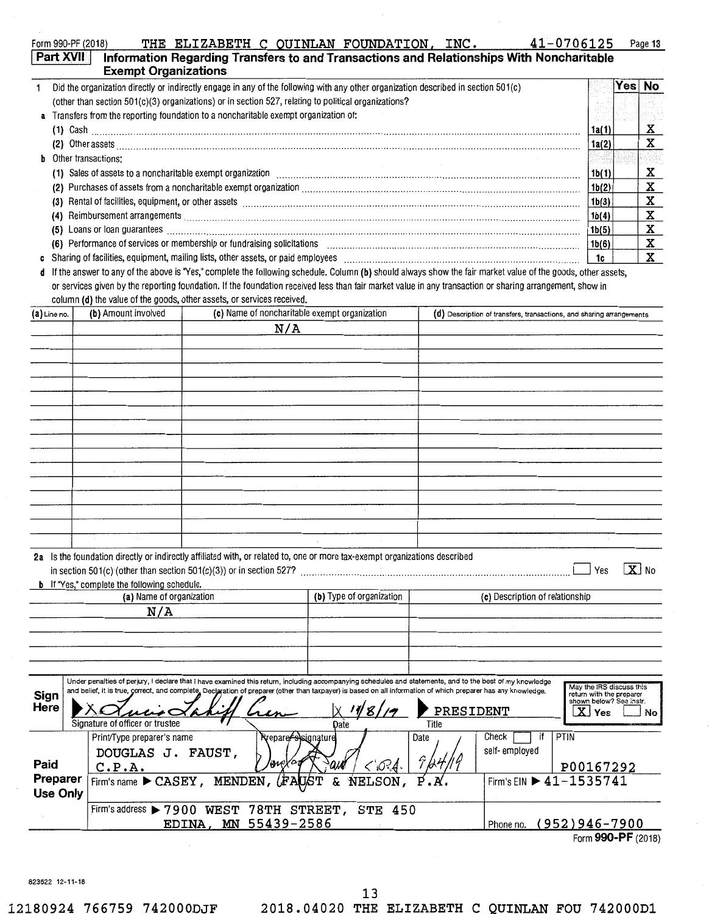|                                                                                      | Part XVII<br>Information Regarding Transfers to and Transactions and Relationships With Noncharitable<br><b>Exempt Organizations</b>                         |       |      |           |  |
|--------------------------------------------------------------------------------------|--------------------------------------------------------------------------------------------------------------------------------------------------------------|-------|------|-----------|--|
|                                                                                      | Did the organization directly or indirectly engage in any of the following with any other organization described in section 501(c)                           |       | Yes⊺ | <b>No</b> |  |
|                                                                                      | (other than section 501(c)(3) organizations) or in section 527, relating to political organizations?                                                         |       |      |           |  |
| a Transfers from the reporting foundation to a noncharitable exempt organization of: |                                                                                                                                                              |       |      |           |  |
|                                                                                      |                                                                                                                                                              | 1a(1) |      | x         |  |
|                                                                                      |                                                                                                                                                              | 1a(2) |      | x         |  |
|                                                                                      | <b>b</b> Other transactions:                                                                                                                                 |       |      |           |  |
|                                                                                      |                                                                                                                                                              | 1b(1) |      | x         |  |
|                                                                                      |                                                                                                                                                              | 1b(2) |      | x         |  |
|                                                                                      |                                                                                                                                                              | 1b(3) |      |           |  |
|                                                                                      |                                                                                                                                                              | 1b(4) |      | X         |  |
|                                                                                      |                                                                                                                                                              | 1b(5) |      |           |  |
|                                                                                      |                                                                                                                                                              | 1b(6) |      | х         |  |
|                                                                                      |                                                                                                                                                              | 1c    |      | x         |  |
| đ                                                                                    | If the answer to any of the above is "Yes," complete the following schedule. Column (b) should always show the fair market value of the goods, other assets, |       |      |           |  |

or services given by the reporting foundation. If the foundation received less than fair market value in any transaction or sharing arrangement, show in column **(d)** the value of the goods, other assets, or services received.

| $(a)$ Line no.              | (b) Amount involved                                                                                                                                                                                                                                                                                                                                          | (c) Name of noncharitable exempt organization |                                   |                          | (0) Description of transfers, transactions, and sharing arrangements |               |                                                                                          |                         |
|-----------------------------|--------------------------------------------------------------------------------------------------------------------------------------------------------------------------------------------------------------------------------------------------------------------------------------------------------------------------------------------------------------|-----------------------------------------------|-----------------------------------|--------------------------|----------------------------------------------------------------------|---------------|------------------------------------------------------------------------------------------|-------------------------|
|                             |                                                                                                                                                                                                                                                                                                                                                              | N/A                                           |                                   |                          |                                                                      |               |                                                                                          |                         |
|                             |                                                                                                                                                                                                                                                                                                                                                              |                                               |                                   |                          |                                                                      |               |                                                                                          |                         |
|                             |                                                                                                                                                                                                                                                                                                                                                              |                                               |                                   |                          |                                                                      |               |                                                                                          |                         |
|                             |                                                                                                                                                                                                                                                                                                                                                              |                                               |                                   |                          |                                                                      |               |                                                                                          |                         |
|                             |                                                                                                                                                                                                                                                                                                                                                              |                                               |                                   |                          |                                                                      |               |                                                                                          |                         |
|                             |                                                                                                                                                                                                                                                                                                                                                              |                                               |                                   |                          |                                                                      |               |                                                                                          |                         |
|                             |                                                                                                                                                                                                                                                                                                                                                              |                                               |                                   |                          |                                                                      |               |                                                                                          |                         |
|                             |                                                                                                                                                                                                                                                                                                                                                              |                                               |                                   |                          |                                                                      |               |                                                                                          |                         |
|                             |                                                                                                                                                                                                                                                                                                                                                              |                                               |                                   |                          |                                                                      |               |                                                                                          |                         |
|                             |                                                                                                                                                                                                                                                                                                                                                              |                                               |                                   |                          |                                                                      |               |                                                                                          |                         |
|                             |                                                                                                                                                                                                                                                                                                                                                              |                                               |                                   |                          |                                                                      |               |                                                                                          |                         |
|                             |                                                                                                                                                                                                                                                                                                                                                              |                                               |                                   |                          |                                                                      |               |                                                                                          |                         |
|                             |                                                                                                                                                                                                                                                                                                                                                              |                                               |                                   |                          |                                                                      |               |                                                                                          |                         |
|                             |                                                                                                                                                                                                                                                                                                                                                              |                                               |                                   |                          |                                                                      |               |                                                                                          |                         |
|                             |                                                                                                                                                                                                                                                                                                                                                              |                                               |                                   |                          |                                                                      |               |                                                                                          |                         |
|                             |                                                                                                                                                                                                                                                                                                                                                              |                                               |                                   |                          |                                                                      |               |                                                                                          |                         |
|                             | 2a Is the foundation directly or indirectly affiliated with, or related to, one or more tax-exempt organizations described<br><b>b</b> If "Yes," complete the following schedule.                                                                                                                                                                            |                                               |                                   |                          |                                                                      |               | Yes                                                                                      | $\boxed{\mathbf{X}}$ No |
|                             | (a) Name of organization                                                                                                                                                                                                                                                                                                                                     |                                               |                                   | (b) Type of organization | (c) Description of relationship                                      |               |                                                                                          |                         |
|                             | N/A                                                                                                                                                                                                                                                                                                                                                          |                                               |                                   |                          |                                                                      |               |                                                                                          |                         |
|                             |                                                                                                                                                                                                                                                                                                                                                              |                                               |                                   |                          |                                                                      |               |                                                                                          |                         |
|                             |                                                                                                                                                                                                                                                                                                                                                              |                                               |                                   |                          |                                                                      |               |                                                                                          |                         |
|                             |                                                                                                                                                                                                                                                                                                                                                              |                                               |                                   |                          |                                                                      |               |                                                                                          |                         |
|                             |                                                                                                                                                                                                                                                                                                                                                              |                                               |                                   |                          |                                                                      |               |                                                                                          |                         |
| Sign<br>Here                | Under penalties of perjury, I declare that I have examined this return, including accompanying schedules and statements, and to the best of my knowledge<br>and belief, it is true, correct, and complete, Declaration of preparer (other than taxpayer) is based on all information of which preparer has any knowledge.<br>Signature of officer or trustee |                                               | Date                              | ∛8≀                      | PRESIDENT<br>Title                                                   |               | May the IRS discuss this<br>return with the preparer<br>shown below? See instr.<br>X Yes | No                      |
|                             | Print/Type preparer's name                                                                                                                                                                                                                                                                                                                                   |                                               | Rrepare <del>/'s)</del> signature |                          | Date                                                                 | Check<br>if   | PTIN                                                                                     |                         |
| Paid                        | DOUGLAS J. FAUST,<br>C.P.A.                                                                                                                                                                                                                                                                                                                                  |                                               | ine)                              | <'O?A.                   |                                                                      | self-employed | P00167292                                                                                |                         |
| Preparer<br><b>Use Only</b> | Firm's name CASEY, MENDEN,                                                                                                                                                                                                                                                                                                                                   |                                               | &<br>(FAUST                       | NELSON,                  |                                                                      |               | Firm's EIN ▶ 41-1535741                                                                  |                         |
|                             | Firm's address > 7900 WEST 78TH STREET, STE 450                                                                                                                                                                                                                                                                                                              |                                               |                                   |                          |                                                                      |               |                                                                                          |                         |
|                             |                                                                                                                                                                                                                                                                                                                                                              | MN<br>EDINA,                                  | 55439-2586                        |                          |                                                                      | Phone no.     | $(952)946 - 7900$                                                                        |                         |
|                             |                                                                                                                                                                                                                                                                                                                                                              |                                               |                                   |                          |                                                                      |               | Form 990-PF (2018)                                                                       |                         |

823622 12-11-18

**12180924 766759 742000DJF 2018.04020 THE ELIZABETH C QUINLAN FOU 742000D1**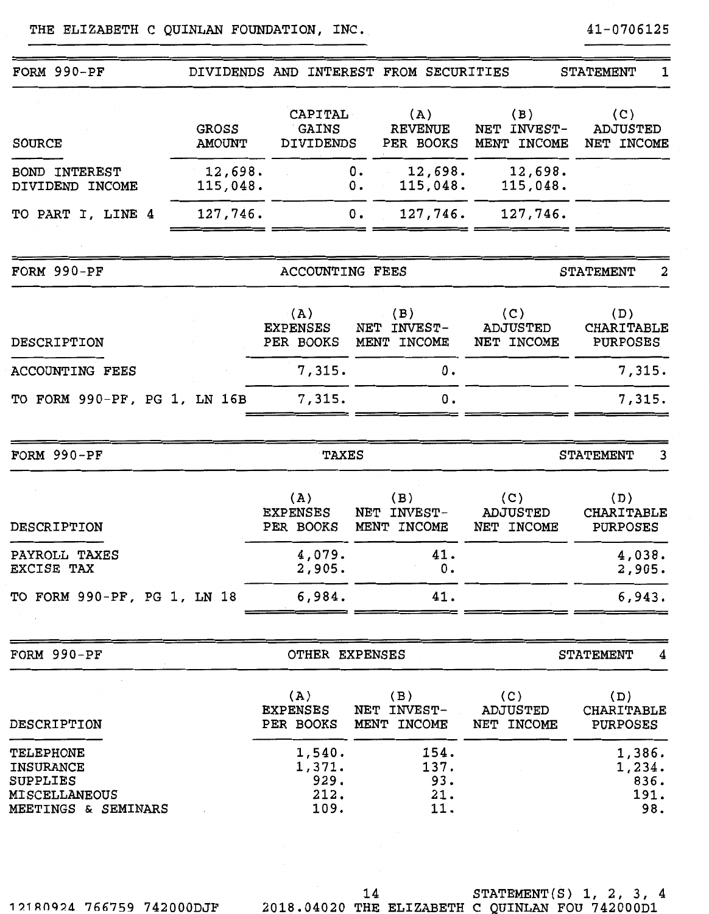| FORM 990-PF                                                                                     |                               |                                          | DIVIDENDS AND INTEREST FROM SECURITIES |                                      | <b>STATEMENT</b><br>1                       |
|-------------------------------------------------------------------------------------------------|-------------------------------|------------------------------------------|----------------------------------------|--------------------------------------|---------------------------------------------|
| <b>SOURCE</b>                                                                                   | <b>GROSS</b><br><b>AMOUNT</b> | CAPITAL<br>GAINS<br><b>DIVIDENDS</b>     | (A)<br><b>REVENUE</b><br>PER BOOKS     | (B)<br>INVEST-<br>NET<br>MENT INCOME | (C)<br><b>ADJUSTED</b><br>NET INCOME        |
| <b>INTEREST</b><br><b>BOND</b><br>DIVIDEND INCOME                                               | 12,698.<br>115,048.           |                                          | 12,698.<br>0.<br>115,048.<br>$0$ .     | 12,698.<br>115,048.                  |                                             |
| TO PART I, LINE 4                                                                               | 127,746.                      |                                          | 127,746.<br>ο.                         | 127,746.                             |                                             |
|                                                                                                 |                               |                                          |                                        |                                      |                                             |
| FORM 990-PF                                                                                     |                               | <b>ACCOUNTING FEES</b>                   |                                        |                                      | 2<br><b>STATEMENT</b>                       |
| DESCRIPTION                                                                                     |                               | (A)<br><b>EXPENSES</b><br>PER BOOKS      | (B)<br>NET INVEST-<br>MENT INCOME      | (C)<br><b>ADJUSTED</b><br>NET INCOME | (D)<br>CHARITABLE<br><b>PURPOSES</b>        |
| <b>ACCOUNTING FEES</b>                                                                          |                               | 7,315.                                   | 0.                                     |                                      | 7,315.                                      |
| TO FORM 990-PF, PG 1, LN 16B                                                                    |                               | 7,315.                                   | 0.                                     |                                      | 7,315.                                      |
| FORM 990-PF                                                                                     |                               | <b>TAXES</b>                             |                                        |                                      | <b>STATEMENT</b><br>3                       |
| DESCRIPTION                                                                                     |                               | (A)<br><b>EXPENSES</b><br>PER BOOKS      | (B)<br>NET INVEST-<br>MENT INCOME      | (C)<br><b>ADJUSTED</b><br>NET INCOME | (D)<br><b>CHARITABLE</b><br><b>PURPOSES</b> |
| PAYROLL TAXES<br>EXCISE TAX                                                                     |                               | 4,079.<br>2,905.                         | 41.<br>Ο.                              |                                      | 4,038.<br>2,905.                            |
| TO FORM 990-PF, PG 1, LN 18                                                                     |                               | 6,984.                                   | 41.                                    |                                      | 6,943.                                      |
| FORM 990-PF                                                                                     |                               | OTHER EXPENSES                           |                                        |                                      | <b>STATEMENT</b><br>4                       |
|                                                                                                 |                               |                                          |                                        |                                      |                                             |
| DESCRIPTION                                                                                     |                               | (A)<br><b>EXPENSES</b><br>PER BOOKS      | (B)<br>NET INVEST-<br>MENT INCOME      | (C)<br><b>ADJUSTED</b><br>NET INCOME | (D)<br><b>CHARITABLE</b><br><b>PURPOSES</b> |
| <b>TELEPHONE</b><br><b>INSURANCE</b><br>SUPPLIES<br><b>MISCELLANEOUS</b><br>MEETINGS & SEMINARS |                               | 1,540.<br>1,371.<br>929.<br>212.<br>109. | 154.<br>137.<br>93.<br>21.<br>11.      |                                      | 1,386.<br>1,234.<br>836.<br>191.<br>98.     |
|                                                                                                 |                               |                                          |                                        |                                      |                                             |

1?.1ROq24 766759 742000DJF

14 STATEMENT(S) 1, 2, 3, 4 2018.04020 THE ELIZABETH C QUINLAN FOU 742000D1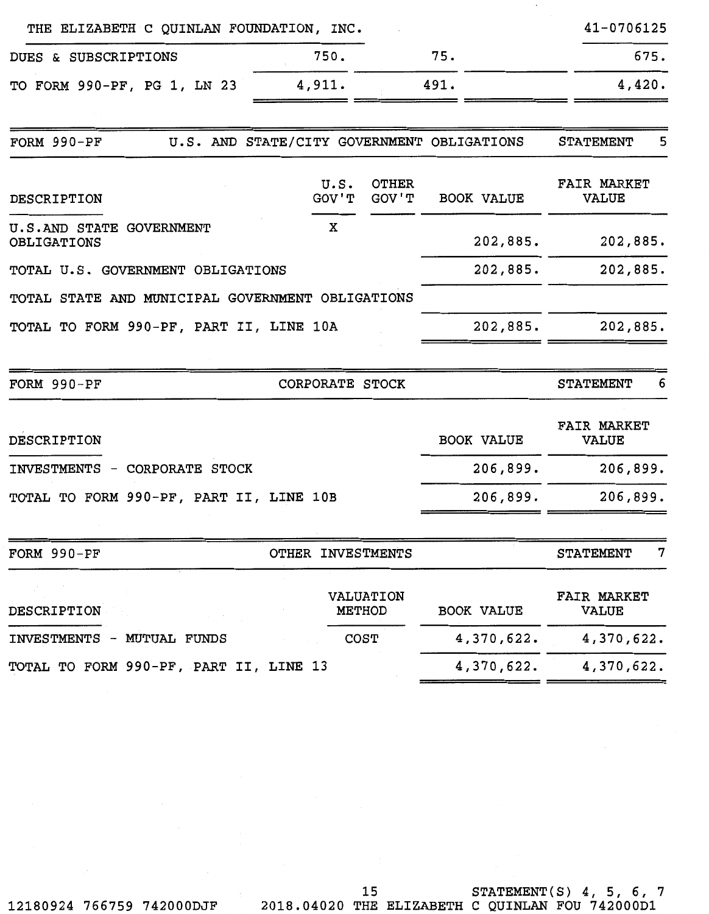| THE ELIZABETH C QUINLAN FOUNDATION, INC.         |                                            |                            |                   | 41-0706125                         |
|--------------------------------------------------|--------------------------------------------|----------------------------|-------------------|------------------------------------|
| DUES & SUBSCRIPTIONS                             | 750.                                       |                            | 75.               | 675.                               |
| TO FORM 990-PF, PG 1, LN 23                      | 4,911.                                     |                            | 491.              | 4,420.                             |
|                                                  |                                            |                            |                   | 5                                  |
| $FORM 990-PF$                                    | U.S. AND STATE/CITY GOVERNMENT OBLIGATIONS |                            |                   | <b>STATEMENT</b>                   |
| DESCRIPTION                                      | U.S.<br>GOV'T                              | <b>OTHER</b><br>GOV'T      | <b>BOOK VALUE</b> | <b>FAIR MARKET</b><br><b>VALUE</b> |
| U.S.AND STATE GOVERNMENT<br>OBLIGATIONS          | x                                          |                            | 202,885.          | 202,885.                           |
| TOTAL U.S. GOVERNMENT OBLIGATIONS                |                                            |                            | 202,885.          | 202,885.                           |
| TOTAL STATE AND MUNICIPAL GOVERNMENT OBLIGATIONS |                                            |                            |                   |                                    |
| TOTAL TO FORM 990-PF, PART II, LINE 10A          |                                            |                            | 202,885.          | 202,885.                           |
| FORM 990-PF                                      | CORPORATE STOCK                            |                            |                   | <b>STATEMENT</b><br>6              |
| DESCRIPTION                                      |                                            |                            | <b>BOOK VALUE</b> | <b>FAIR MARKET</b><br><b>VALUE</b> |
| INVESTMENTS - CORPORATE STOCK                    |                                            |                            | 206,899.          | 206,899.                           |
| TOTAL TO FORM 990-PF, PART II, LINE 10B          |                                            |                            | 206,899.          | 206,899.                           |
| FORM 990-PF                                      | OTHER INVESTMENTS                          |                            |                   | 7<br><b>STATEMENT</b>              |
| DESCRIPTION                                      |                                            | VALUATION<br><b>METHOD</b> | <b>BOOK VALUE</b> | FAIR MARKET<br><b>VALUE</b>        |
| INVESTMENTS - MUTUAL FUNDS                       |                                            | COST                       | 4,370,622.        | 4,370,622.                         |
| TOTAL TO FORM 990-PF, PART II, LINE 13           |                                            |                            | 4,370,622.        | 4,370,622.                         |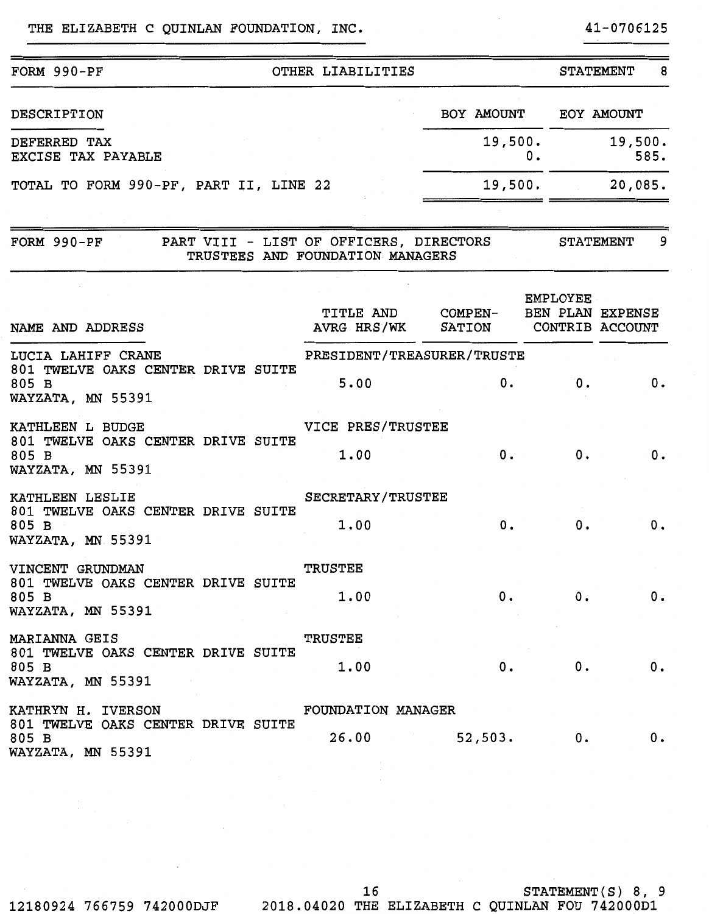## THE ELIZABETH C QUINLAN FOUNDATION, INC. 41-0706125

# FORM 990-PF OTHER LIABILITIES STATEMENT 8 BOY AMOUNT EOY AMOUNT DESCRIPTION  $\epsilon$ 19,500.<br>0. 585. DEFERRED TAX 0. 585. EXCISE TAX PAYABLE TOTAL TO FORM 990-PF, PART II, LINE 22 19,500. 20,085.

| FORM 990-PF |  | PART VIII - LIST OF OFFICERS, DIRECTORS | <b>STATEMENT</b> |  |
|-------------|--|-----------------------------------------|------------------|--|
|             |  | TRUSTEES AND FOUNDATION MANAGERS        |                  |  |

| NAME AND ADDRESS                                                 |                                                                                                                                                                                                                                                                                                                                                                                                                                                        | TITLE AND COMPEN- BEN PLAN EXPENSE<br>AVRG HRS/WK SATION CONTRIB ACCOUNT |    | <b>EMPLOYEE</b>      |                          |
|------------------------------------------------------------------|--------------------------------------------------------------------------------------------------------------------------------------------------------------------------------------------------------------------------------------------------------------------------------------------------------------------------------------------------------------------------------------------------------------------------------------------------------|--------------------------------------------------------------------------|----|----------------------|--------------------------|
| LUCIA LAHIFF CRANE                                               | and the state of the state of the                                                                                                                                                                                                                                                                                                                                                                                                                      | PRESIDENT/TREASURER/TRUSTE                                               |    |                      |                          |
| 801 TWELVE OAKS CENTER DRIVE SUITE<br>805 B<br>WAYZATA, MN 55391 | $\label{eq:2.1} \frac{1}{\sqrt{2}}\left(\frac{1}{\sqrt{2}}\right)^{2} \left(\frac{1}{\sqrt{2}}\right)^{2} \left(\frac{1}{\sqrt{2}}\right)^{2} \left(\frac{1}{\sqrt{2}}\right)^{2} \left(\frac{1}{\sqrt{2}}\right)^{2} \left(\frac{1}{\sqrt{2}}\right)^{2} \left(\frac{1}{\sqrt{2}}\right)^{2} \left(\frac{1}{\sqrt{2}}\right)^{2} \left(\frac{1}{\sqrt{2}}\right)^{2} \left(\frac{1}{\sqrt{2}}\right)^{2} \left(\frac{1}{\sqrt{2}}\right)^{2} \left(\$ | 5.00                                                                     | 0. | 0.                   | $\overline{\phantom{a}}$ |
| KATHLEEN L BUDGE VICE PRES/TRUSTEE                               |                                                                                                                                                                                                                                                                                                                                                                                                                                                        |                                                                          |    |                      |                          |
| 801 TWELVE OAKS CENTER DRIVE SUITE<br>805 B<br>WAYZATA, MN 55391 |                                                                                                                                                                                                                                                                                                                                                                                                                                                        | 1.00                                                                     |    | $\mathbf{0}$ .<br>0. | 0.                       |
| KATHLEEN LESLIE                                                  |                                                                                                                                                                                                                                                                                                                                                                                                                                                        | <b>SECRETARY/TRUSTEE</b>                                                 |    |                      |                          |
| 801 TWELVE OAKS CENTER DRIVE SUITE<br>805 B<br>WAYZATA, MN 55391 |                                                                                                                                                                                                                                                                                                                                                                                                                                                        | 1.00                                                                     | 0. | 0.                   | 0.                       |
| VINCENT GRUNDMAN                                                 |                                                                                                                                                                                                                                                                                                                                                                                                                                                        | <b>TRUSTEE</b>                                                           |    |                      |                          |
| 801 TWELVE OAKS CENTER DRIVE SUITE<br>805 B<br>WAYZATA, MN 55391 |                                                                                                                                                                                                                                                                                                                                                                                                                                                        | 1.00                                                                     | 0. | 0.                   | 0.                       |
| MARIANNA GEIS                                                    |                                                                                                                                                                                                                                                                                                                                                                                                                                                        | <b>TRUSTEE</b>                                                           |    |                      |                          |
| 801 TWELVE OAKS CENTER DRIVE SUITE<br>805 B<br>WAYZATA, MN 55391 |                                                                                                                                                                                                                                                                                                                                                                                                                                                        | 1.00                                                                     | 0. | 0.                   | 0.                       |
| KATHRYN H. IVERSON                                               |                                                                                                                                                                                                                                                                                                                                                                                                                                                        | FOUNDATION MANAGER                                                       |    |                      |                          |
| 801 TWELVE OAKS CENTER DRIVE SUITE<br>805 B<br>WAYZATA, MN 55391 |                                                                                                                                                                                                                                                                                                                                                                                                                                                        | $26.00$ 52,503.                                                          |    | 0.                   | 0.                       |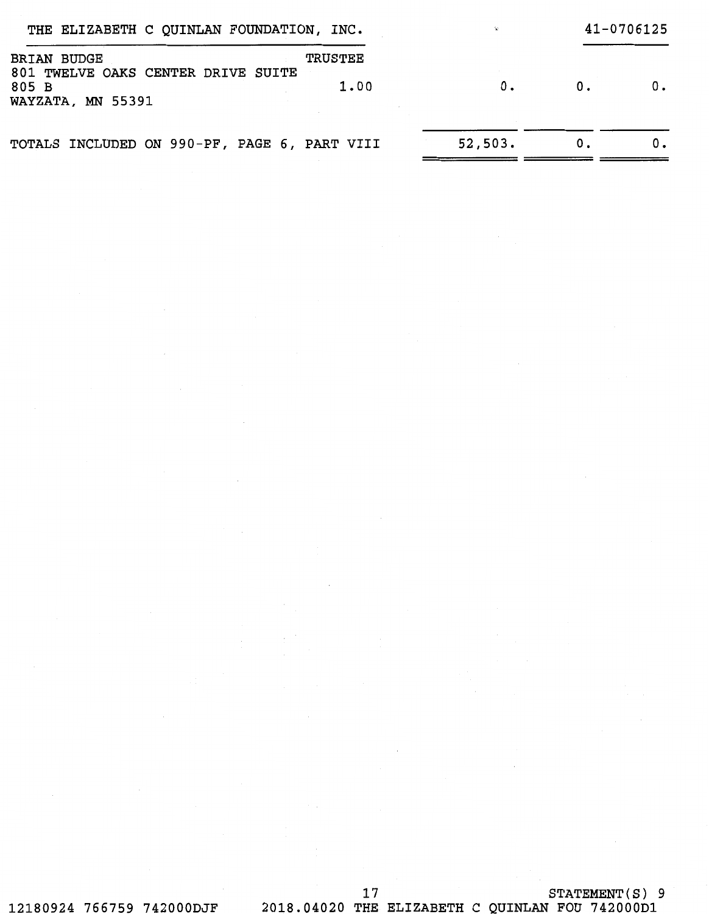| THE ELIZABETH C QUINLAN FOUNDATION, INC.                                   |         |    | 41-0706125 |
|----------------------------------------------------------------------------|---------|----|------------|
| <b>BRIAN BUDGE</b><br><b>TRUSTEE</b><br>801 TWELVE OAKS CENTER DRIVE SUITE |         |    |            |
| 1.00<br>805 B<br>WAYZATA, MN 55391                                         | 0.      | 0. |            |
| TOTALS INCLUDED ON 990-PF, PAGE 6, PART VIII                               | 52,503. |    |            |

# 17 STATEMENT(S) 9 12180924 766759 742000DJF 2018.04020 THE ELIZABETH C QUINLAN FOU 742000D1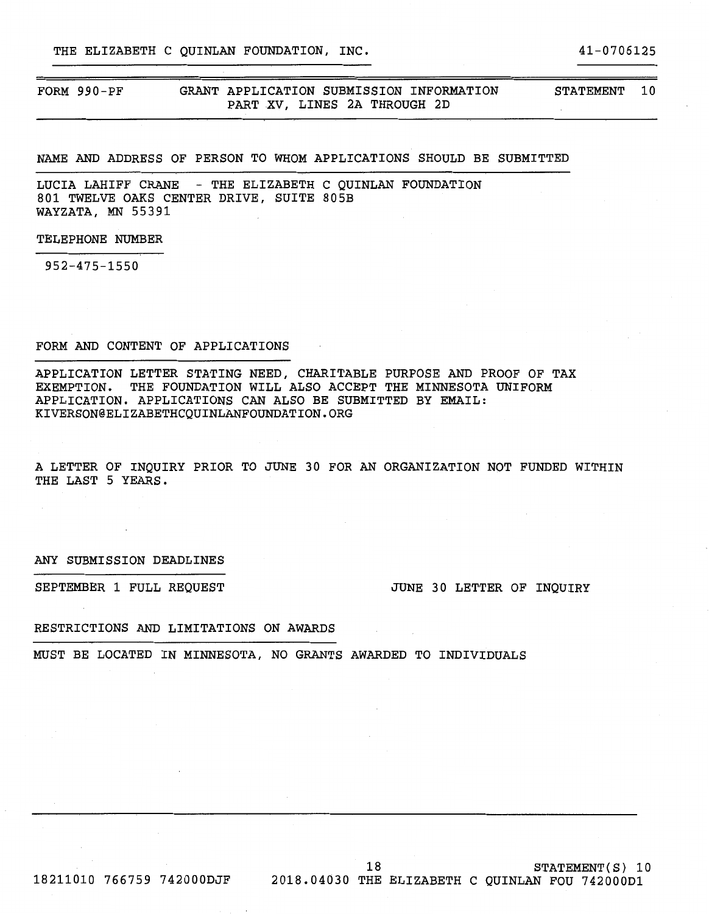THE ELIZABETH C OUINLAN FOUNDATION, INC.  $41-0706125$ 

## STATEMENT 10

## NAME AND ADDRESS OF PERSON TO WHOM APPLICATIONS SHOULD BE SUBMITTED

LUCIA LAHIFF CRANE - THE ELIZABETH C QUINLAN FOUNDATION 801 TWELVE OAKS CENTER DRIVE, SUITE 805B WAYZATA, MN 55391

### TELEPHONE NUMBER

952-475-1550

## FORM AND CONTENT OF APPLICATIONS

APPLICATION LETTER STATING NEED, CHARITABLE PURPOSE AND PROOF OF TAX EXEMPTION. THE FOUNDATION WILL ALSO ACCEPT THE MINNESOTA UNIFORM APPLICATION. APPLICATIONS CAN ALSO BE SUBMITTED BY EMAIL: KIVERSON@ELIZABETHCQUINLANFOUNDATION.ORG

A LETTER OF INQUIRY PRIOR TO JUNE 30 FOR AN ORGANIZATION NOT FUNDED WITHIN THE LAST 5 YEARS.

### ANY SUBMISSION DEADLINES

SEPTEMBER 1 FULL REQUEST **SEPTEMBER 1 FULL REQUEST JUNE 30 LETTER OF INQUIRY** 

### RESTRICTIONS AND LIMITATIONS ON AWARDS

MUST BE LOCATED IN MINNESOTA, NO GRANTS AWARDED TO INDIVIDUALS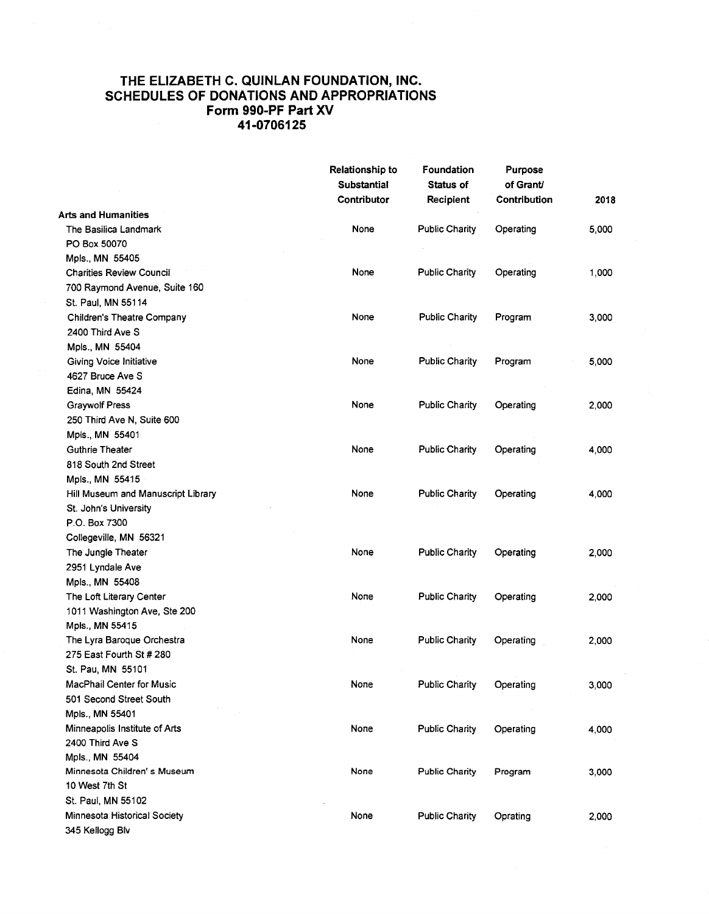## **THE ELIZABETH C. QUINLAN FOUNDATION, INC. SCHEDULES OF DONATIONS AND APPROPRIATIONS Form 990-PF Part XV 41-0706125**

|                                    | <b>Relationship to</b><br><b>Substantial</b> | Foundation<br><b>Status of</b> | <b>Purpose</b><br>of Grant/ |       |
|------------------------------------|----------------------------------------------|--------------------------------|-----------------------------|-------|
|                                    | Contributor                                  | Recipient                      | Contribution                | 2018  |
| Arts and Humanities                |                                              |                                |                             |       |
| The Basilica Landmark              | None                                         | <b>Public Charity</b>          | Operating                   | 5,000 |
| PO Box 50070                       |                                              |                                |                             |       |
| Mpls., MN 55405                    |                                              |                                |                             |       |
| <b>Charities Review Council</b>    | None                                         | <b>Public Charity</b>          | Operating                   | 1,000 |
| 700 Raymond Avenue, Suite 160      |                                              |                                |                             |       |
| St. Paul, MN 55114                 |                                              |                                |                             |       |
| <b>Children's Theatre Company</b>  | None                                         | <b>Public Charity</b>          | Program                     | 3,000 |
| 2400 Third Ave S                   |                                              |                                |                             |       |
| Mpls., MN 55404                    |                                              |                                |                             |       |
| Giving Voice Initiative            | None                                         | <b>Public Charity</b>          | Program                     | 5,000 |
| 4627 Bruce Ave S                   |                                              |                                |                             |       |
| Edina, MN 55424                    |                                              |                                |                             |       |
| <b>Graywolf Press</b>              | None                                         | <b>Public Charity</b>          | Operating                   | 2,000 |
| 250 Third Ave N, Suite 600         |                                              |                                |                             |       |
| Mpls., MN 55401                    |                                              |                                |                             |       |
| Guthrie Theater                    | None                                         | <b>Public Charity</b>          | Operating                   | 4,000 |
| 818 South 2nd Street               |                                              |                                |                             |       |
| Mpls., MN 55415                    |                                              |                                |                             |       |
| Hill Museum and Manuscript Library | None                                         | <b>Public Charity</b>          | Operating                   | 4,000 |
| St. John's University              |                                              |                                |                             |       |
| P.O. Box 7300                      |                                              |                                |                             |       |
| Collegeville, MN 56321             |                                              |                                |                             |       |
| The Jungle Theater                 | None                                         | <b>Public Charity</b>          | Operating                   | 2,000 |
| 2951 Lyndale Ave                   |                                              |                                |                             |       |
| Mpls., MN 55408                    |                                              |                                |                             |       |
| The Loft Literary Center           | None                                         | <b>Public Charity</b>          | Operating                   | 2,000 |
| 1011 Washington Ave, Ste 200       |                                              |                                |                             |       |
| Mpls., MN 55415                    |                                              |                                |                             |       |
| The Lyra Baroque Orchestra         | None                                         | <b>Public Charity</b>          | Operating                   | 2,000 |
| 275 East Fourth St # 280           |                                              |                                |                             |       |
| St. Pau, MN 55101                  |                                              |                                |                             |       |
| MacPhail Center for Music          | None                                         | <b>Public Charity</b>          | Operating                   | 3,000 |
| 501 Second Street South            |                                              |                                |                             |       |
| Mpls., MN 55401                    |                                              |                                |                             |       |
| Minneapolis Institute of Arts      | None                                         | <b>Public Charity</b>          | Operating                   | 4,000 |
| 2400 Third Ave S                   |                                              |                                |                             |       |
| Mpls., MN 55404                    |                                              |                                |                             |       |
| Minnesota Children's Museum        | None                                         | Public Charity                 | Program                     | 3,000 |
| 10 West 7th St                     |                                              |                                |                             |       |
| St. Paul, MN 55102                 |                                              |                                |                             |       |
| Minnesota Historical Society       | None                                         | <b>Public Charity</b>          | Oprating                    | 2,000 |
| 345 Kellogg Blv                    |                                              |                                |                             |       |
|                                    |                                              |                                |                             |       |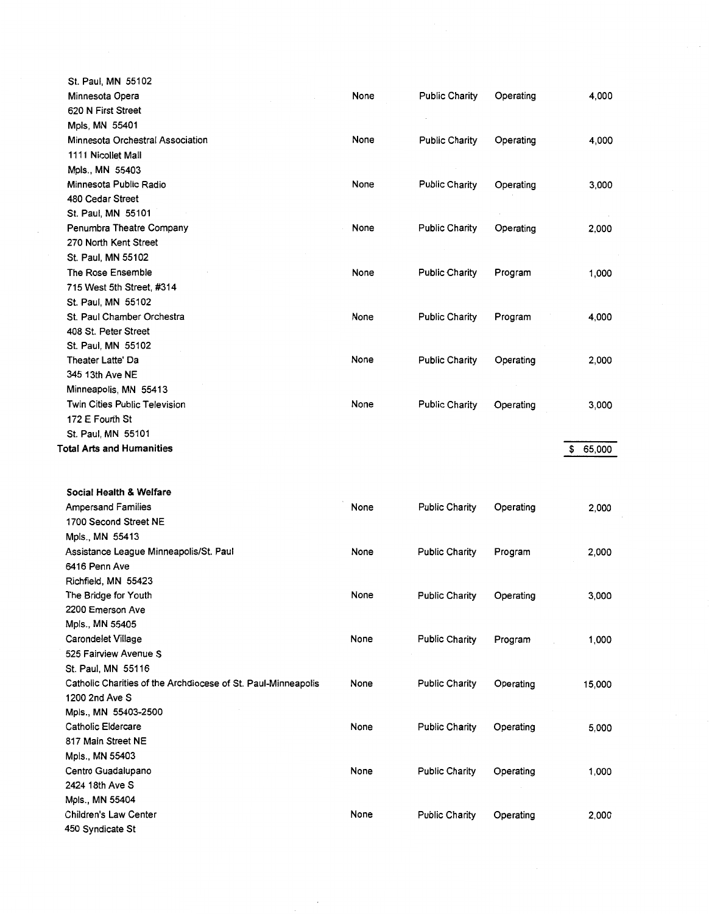| St. Paul, MN 55102                                            |      |                       |           |              |
|---------------------------------------------------------------|------|-----------------------|-----------|--------------|
| Minnesota Opera                                               | None | <b>Public Charity</b> | Operating | 4,000        |
| 620 N First Street                                            |      |                       |           |              |
| Mpls, MN 55401                                                |      |                       |           |              |
| Minnesota Orchestral Association                              | None | <b>Public Charity</b> | Operating | 4,000        |
| 1111 Nicollet Mall                                            |      |                       |           |              |
| Mpls., MN 55403                                               |      |                       |           |              |
| Minnesota Public Radio                                        | None | <b>Public Charity</b> | Operating | 3,000        |
| 480 Cedar Street                                              |      |                       |           |              |
| St. Paul, MN 55101                                            |      |                       |           |              |
| Penumbra Theatre Company                                      | None | Public Charity        | Operating | 2,000        |
| 270 North Kent Street                                         |      |                       |           |              |
| St. Paul, MN 55102                                            |      |                       |           |              |
| The Rose Ensemble                                             | None | <b>Public Charity</b> | Program   | 1,000        |
| 715 West 5th Street, #314                                     |      |                       |           |              |
| St. Paul, MN 55102                                            |      |                       |           |              |
| St. Paul Chamber Orchestra                                    | None | <b>Public Charity</b> | Program   | 4,000        |
| 408 St. Peter Street                                          |      |                       |           |              |
| St. Paul, MN 55102                                            |      |                       |           |              |
| Theater Latte' Da                                             | None | <b>Public Charity</b> | Operating | 2,000        |
| 345 13th Ave NE                                               |      |                       |           |              |
| Minneapolis, MN 55413                                         |      |                       |           |              |
| <b>Twin Cities Public Television</b>                          | None | <b>Public Charity</b> | Operating | 3,000        |
| 172 E Fourth St                                               |      |                       |           |              |
| St. Paul, MN 55101                                            |      |                       |           |              |
| <b>Total Arts and Humanities</b>                              |      |                       |           | 65,000<br>\$ |
|                                                               |      |                       |           |              |
| Social Health & Welfare                                       |      |                       |           |              |
| <b>Ampersand Families</b>                                     | None | <b>Public Charity</b> | Operating | 2,000        |
| 1700 Second Street NE                                         |      |                       |           |              |
| Mpls., MN 55413                                               |      |                       |           |              |
| Assistance League Minneapolis/St. Paul                        | None | <b>Public Charity</b> | Program   | 2,000        |
| 6416 Penn Ave                                                 |      |                       |           |              |
| Richfield, MN 55423                                           |      |                       |           |              |
| The Bridge for Youth                                          | None | <b>Public Charity</b> | Operating | 3,000        |
| 2200 Emerson Ave                                              |      |                       |           |              |
| Mpls., MN 55405                                               |      |                       |           |              |
| Carondelet Village                                            | None | <b>Public Charity</b> | Program   | 1,000        |
| 525 Fairview Avenue S                                         |      |                       |           |              |
| St. Paul. MN 55116                                            |      |                       |           |              |
| Catholic Charities of the Archdiocese of St. Paul-Minneapolis | None | <b>Public Charity</b> | Operating | 15,000       |
| 1200 2nd Ave S                                                |      |                       |           |              |
| Mpls., MN 55403-2500                                          |      |                       |           |              |
| Catholic Eldercare                                            | None | Public Charity        | Operating | 5,000        |
| 817 Main Street NE                                            |      |                       |           |              |
| Mpls., MN 55403                                               |      |                       |           |              |
| Centro Guadalupano                                            | None | <b>Public Charity</b> | Operating | 1,000        |
| 2424 18th Ave S                                               |      |                       |           |              |
| Mpls., MN 55404                                               |      |                       |           |              |
|                                                               |      |                       |           |              |
| <b>Children's Law Center</b>                                  | None | <b>Public Charity</b> | Operating | 2,000        |

 $\hat{\boldsymbol{\beta}}$ 

 $\sim$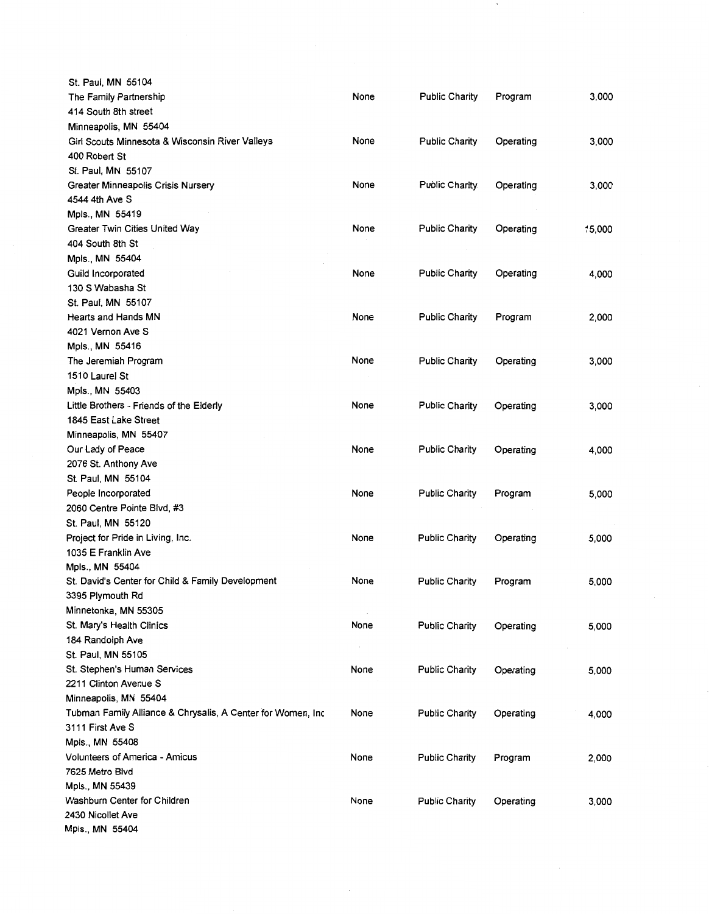| St. Paul, MN 55104                                          |      |                       |           |        |
|-------------------------------------------------------------|------|-----------------------|-----------|--------|
| The Family Partnership                                      | None | <b>Public Charity</b> | Program   | 3,000  |
| 414 South 8th street                                        |      |                       |           |        |
| Minneapolis, MN 55404                                       |      |                       |           |        |
| Girl Scouts Minnesota & Wisconsin River Valleys             | None | <b>Public Charity</b> | Operating | 3,000  |
| 400 Robert St                                               |      |                       |           |        |
| St. Paul, MN 55107                                          |      |                       |           |        |
| Greater Minneapolis Crisis Nursery                          | None | <b>Public Charity</b> | Operating | 3,000  |
| 4544 4th Ave S                                              |      |                       |           |        |
| Mpls., MN 55419                                             |      |                       |           |        |
| Greater Twin Cities United Way                              | None | <b>Public Charity</b> | Operating | 15,000 |
| 404 South 8th St                                            |      |                       |           |        |
| Mpls., MN 55404                                             |      |                       |           |        |
| Guild Incorporated                                          | None | <b>Public Charity</b> | Operating | 4,000  |
| 130 S Wabasha St                                            |      |                       |           |        |
| St. Paul, MN 55107                                          |      |                       |           |        |
| Hearts and Hands MN                                         | None | <b>Public Charity</b> | Program   | 2,000  |
| 4021 Vernon Ave S                                           |      |                       |           |        |
| Mpls., MN 55416                                             |      |                       |           |        |
| The Jeremiah Program                                        | None | <b>Public Charity</b> | Operating | 3,000  |
| 1510 Laurel St                                              |      |                       |           |        |
| Mpls., MN 55403                                             |      |                       |           |        |
| Little Brothers - Friends of the Elderly                    | None | <b>Public Charity</b> | Operating | 3,000  |
| 1845 East Lake Street                                       |      |                       |           |        |
| Minneapolis, MN 55407                                       |      |                       |           |        |
| Our Lady of Peace                                           | None | <b>Public Charity</b> | Operating | 4,000  |
| 2076 St. Anthony Ave                                        |      |                       |           |        |
| St. Paul, MN 55104                                          |      |                       |           |        |
| People Incorporated                                         | None | <b>Public Charity</b> | Program   | 5,000  |
| 2060 Centre Pointe Blvd, #3                                 |      |                       |           |        |
| St. Paul, MN 55120                                          |      |                       |           |        |
| Project for Pride in Living, Inc.                           | None | <b>Public Charity</b> | Operating | 5,000  |
| 1035 E Franklin Ave                                         |      |                       |           |        |
| Mpls., MN 55404                                             |      |                       |           |        |
| St. David's Center for Child & Family Development           | None | <b>Public Charity</b> | Program   | 5,000  |
| 3395 Plymouth Rd                                            |      |                       |           |        |
| Minnetonka, MN 55305                                        |      |                       |           |        |
| St. Mary's Health Clinics                                   | None | <b>Public Charity</b> | Operating | 5,000  |
| 184 Randolph Ave                                            |      |                       |           |        |
| St. Paul, MN 55105                                          |      |                       |           |        |
| St. Stephen's Human Services                                | None | <b>Public Charity</b> | Operating | 5,000  |
| 2211 Clinton Avenue S                                       |      |                       |           |        |
| Minneapolis, MN 55404                                       |      |                       |           |        |
| Tubman Family Alliance & Chrysalis, A Center for Women, Inc | None | Public Charity        | Operating | 4,000  |
| 3111 First Ave S                                            |      |                       |           |        |
| Mpls., MN 55408                                             |      |                       |           |        |
| Volunteers of America - Amicus                              | None | <b>Public Charity</b> | Program   | 2,000  |
| 7625 Metro Blvd                                             |      |                       |           |        |
| Mpls., MN 55439                                             |      |                       |           |        |
| Washburn Center for Children                                | None | <b>Public Charity</b> | Operating | 3,000  |
| 2430 Nicollet Ave                                           |      |                       |           |        |
| Mpls., MN 55404                                             |      |                       |           |        |

 $\;$